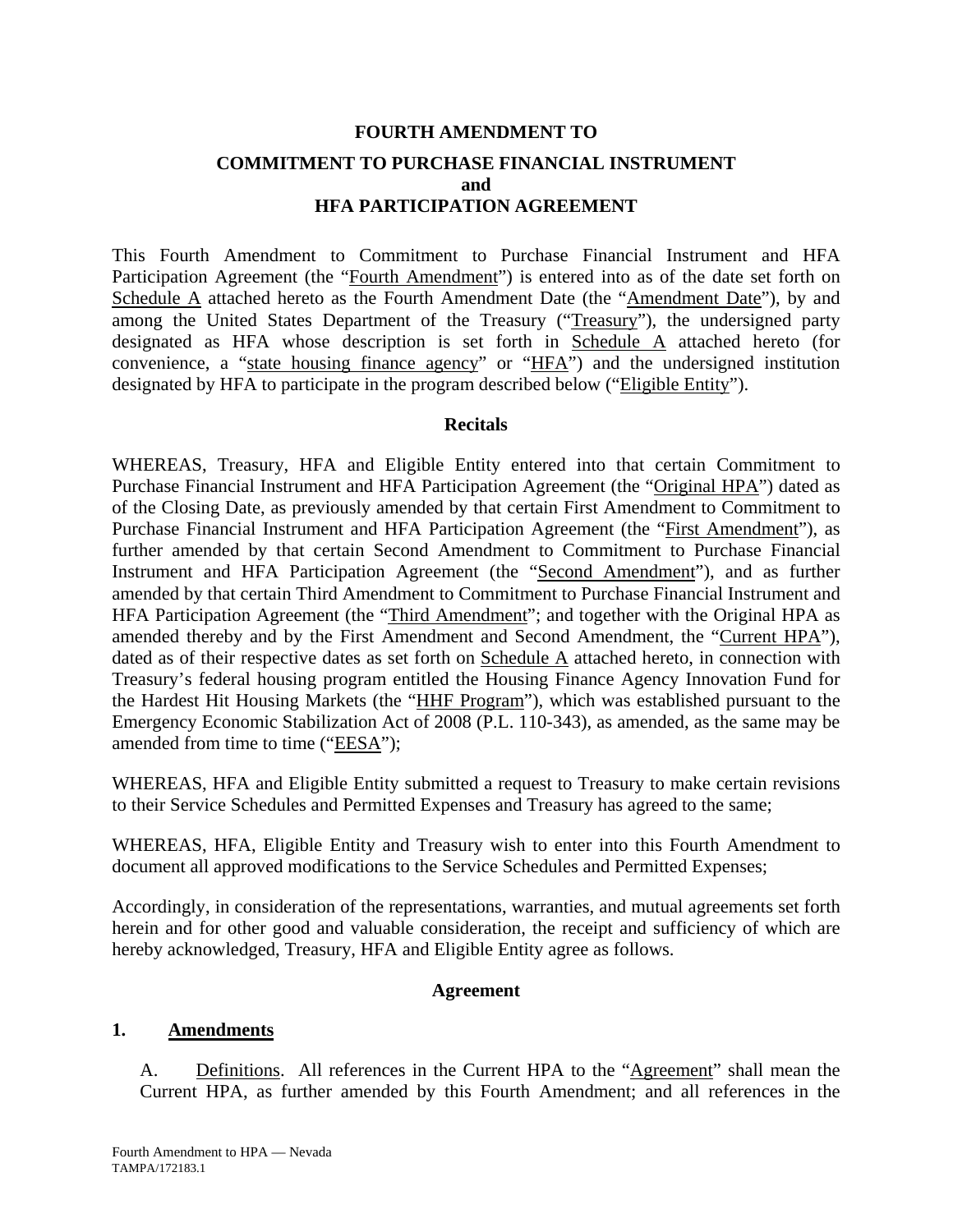# **FOURTH AMENDMENT TO COMMITMENT TO PURCHASE FINANCIAL INSTRUMENT and HFA PARTICIPATION AGREEMENT**

This Fourth Amendment to Commitment to Purchase Financial Instrument and HFA Participation Agreement (the "Fourth Amendment") is entered into as of the date set forth on Schedule A attached hereto as the Fourth Amendment Date (the "Amendment Date"), by and among the United States Department of the Treasury ("Treasury"), the undersigned party designated as HFA whose description is set forth in Schedule A attached hereto (for convenience, a "state housing finance agency" or "HFA") and the undersigned institution designated by HFA to participate in the program described below ("Eligible Entity").

#### **Recitals**

WHEREAS, Treasury, HFA and Eligible Entity entered into that certain Commitment to Purchase Financial Instrument and HFA Participation Agreement (the "Original HPA") dated as of the Closing Date, as previously amended by that certain First Amendment to Commitment to Purchase Financial Instrument and HFA Participation Agreement (the "First Amendment"), as further amended by that certain Second Amendment to Commitment to Purchase Financial Instrument and HFA Participation Agreement (the "Second Amendment"), and as further amended by that certain Third Amendment to Commitment to Purchase Financial Instrument and HFA Participation Agreement (the "Third Amendment"; and together with the Original HPA as amended thereby and by the First Amendment and Second Amendment, the "Current HPA"), dated as of their respective dates as set forth on Schedule A attached hereto, in connection with Treasury's federal housing program entitled the Housing Finance Agency Innovation Fund for the Hardest Hit Housing Markets (the "HHF Program"), which was established pursuant to the Emergency Economic Stabilization Act of 2008 (P.L. 110-343), as amended, as the same may be amended from time to time ("EESA");

WHEREAS, HFA and Eligible Entity submitted a request to Treasury to make certain revisions to their Service Schedules and Permitted Expenses and Treasury has agreed to the same;

WHEREAS, HFA, Eligible Entity and Treasury wish to enter into this Fourth Amendment to document all approved modifications to the Service Schedules and Permitted Expenses;

Accordingly, in consideration of the representations, warranties, and mutual agreements set forth herein and for other good and valuable consideration, the receipt and sufficiency of which are hereby acknowledged, Treasury, HFA and Eligible Entity agree as follows.

### **Agreement**

#### **1. Amendments**

A. Definitions. All references in the Current HPA to the "Agreement" shall mean the Current HPA, as further amended by this Fourth Amendment; and all references in the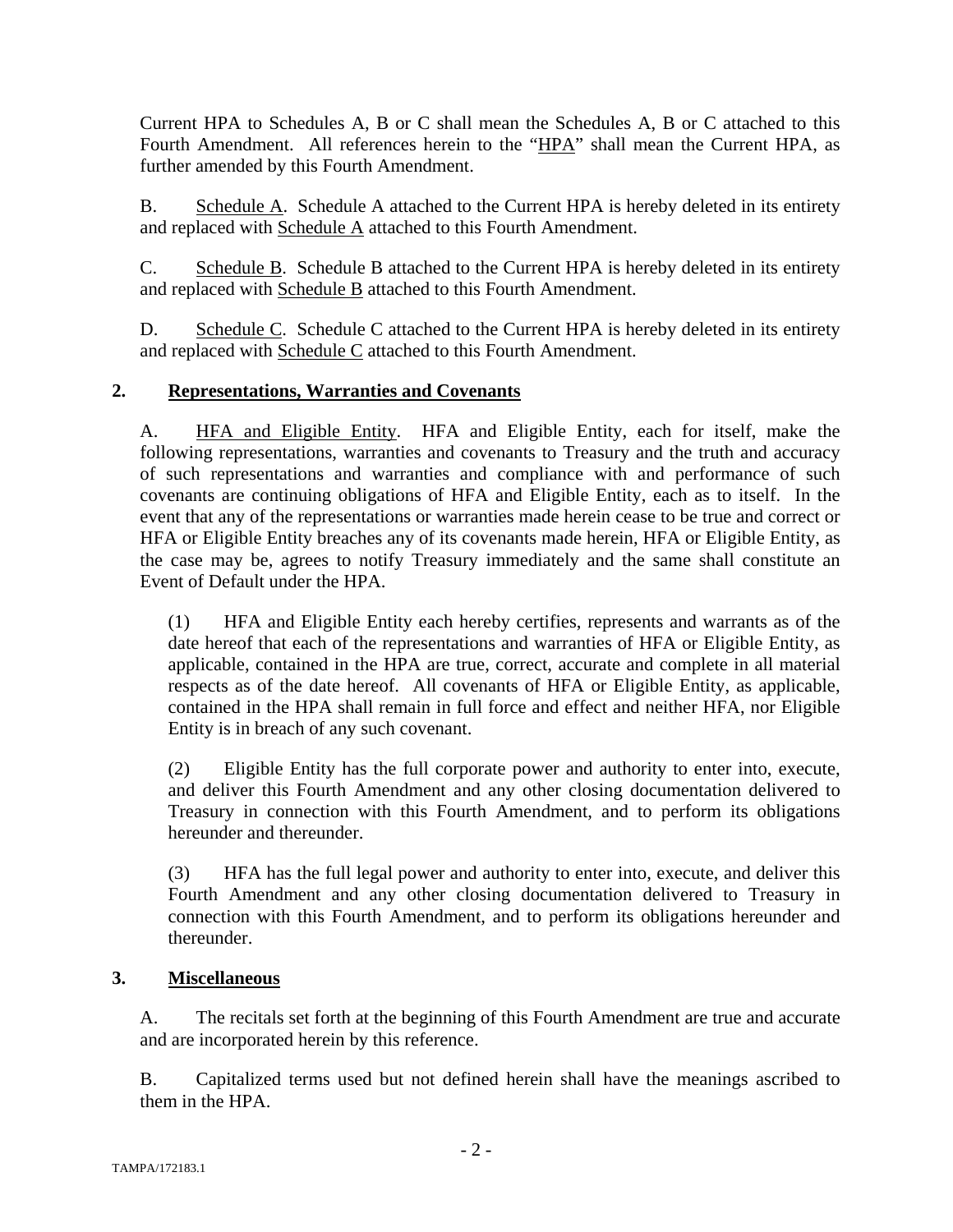Current HPA to Schedules A, B or C shall mean the Schedules A, B or C attached to this Fourth Amendment. All references herein to the "HPA" shall mean the Current HPA, as further amended by this Fourth Amendment.

B. Schedule A. Schedule A attached to the Current HPA is hereby deleted in its entirety and replaced with Schedule A attached to this Fourth Amendment.

C. Schedule B. Schedule B attached to the Current HPA is hereby deleted in its entirety and replaced with Schedule B attached to this Fourth Amendment.

D. Schedule C. Schedule C attached to the Current HPA is hereby deleted in its entirety and replaced with Schedule C attached to this Fourth Amendment.

### **2. Representations, Warranties and Covenants**

A. HFA and Eligible Entity. HFA and Eligible Entity, each for itself, make the following representations, warranties and covenants to Treasury and the truth and accuracy of such representations and warranties and compliance with and performance of such covenants are continuing obligations of HFA and Eligible Entity, each as to itself. In the event that any of the representations or warranties made herein cease to be true and correct or HFA or Eligible Entity breaches any of its covenants made herein, HFA or Eligible Entity, as the case may be, agrees to notify Treasury immediately and the same shall constitute an Event of Default under the HPA.

(1) HFA and Eligible Entity each hereby certifies, represents and warrants as of the date hereof that each of the representations and warranties of HFA or Eligible Entity, as applicable, contained in the HPA are true, correct, accurate and complete in all material respects as of the date hereof. All covenants of HFA or Eligible Entity, as applicable, contained in the HPA shall remain in full force and effect and neither HFA, nor Eligible Entity is in breach of any such covenant.

(2) Eligible Entity has the full corporate power and authority to enter into, execute, and deliver this Fourth Amendment and any other closing documentation delivered to Treasury in connection with this Fourth Amendment, and to perform its obligations hereunder and thereunder.

(3) HFA has the full legal power and authority to enter into, execute, and deliver this Fourth Amendment and any other closing documentation delivered to Treasury in connection with this Fourth Amendment, and to perform its obligations hereunder and thereunder.

### **3. Miscellaneous**

A. The recitals set forth at the beginning of this Fourth Amendment are true and accurate and are incorporated herein by this reference.

B. Capitalized terms used but not defined herein shall have the meanings ascribed to them in the HPA.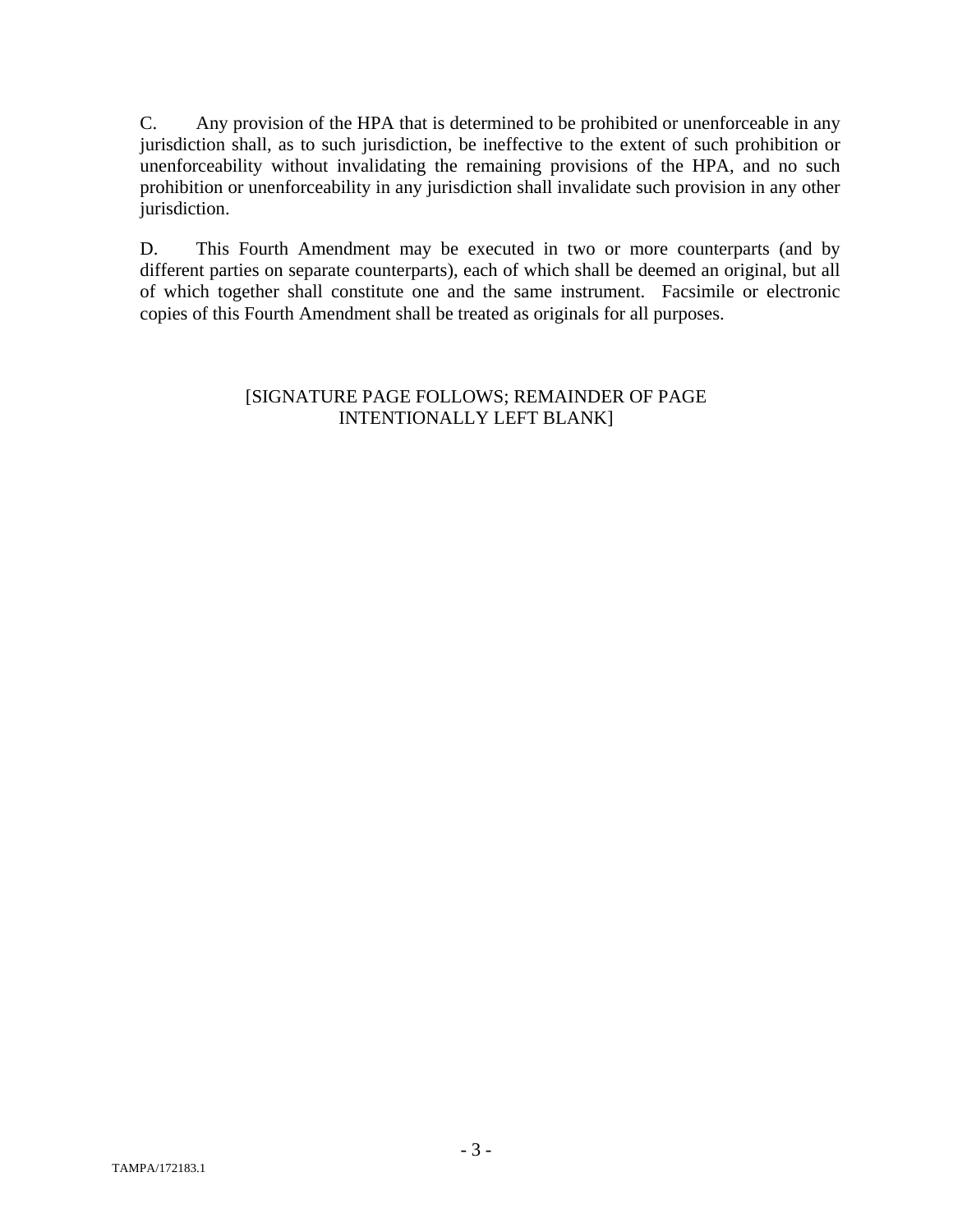C. Any provision of the HPA that is determined to be prohibited or unenforceable in any jurisdiction shall, as to such jurisdiction, be ineffective to the extent of such prohibition or unenforceability without invalidating the remaining provisions of the HPA, and no such prohibition or unenforceability in any jurisdiction shall invalidate such provision in any other jurisdiction.

D. This Fourth Amendment may be executed in two or more counterparts (and by different parties on separate counterparts), each of which shall be deemed an original, but all of which together shall constitute one and the same instrument. Facsimile or electronic copies of this Fourth Amendment shall be treated as originals for all purposes.

### [SIGNATURE PAGE FOLLOWS; REMAINDER OF PAGE INTENTIONALLY LEFT BLANK]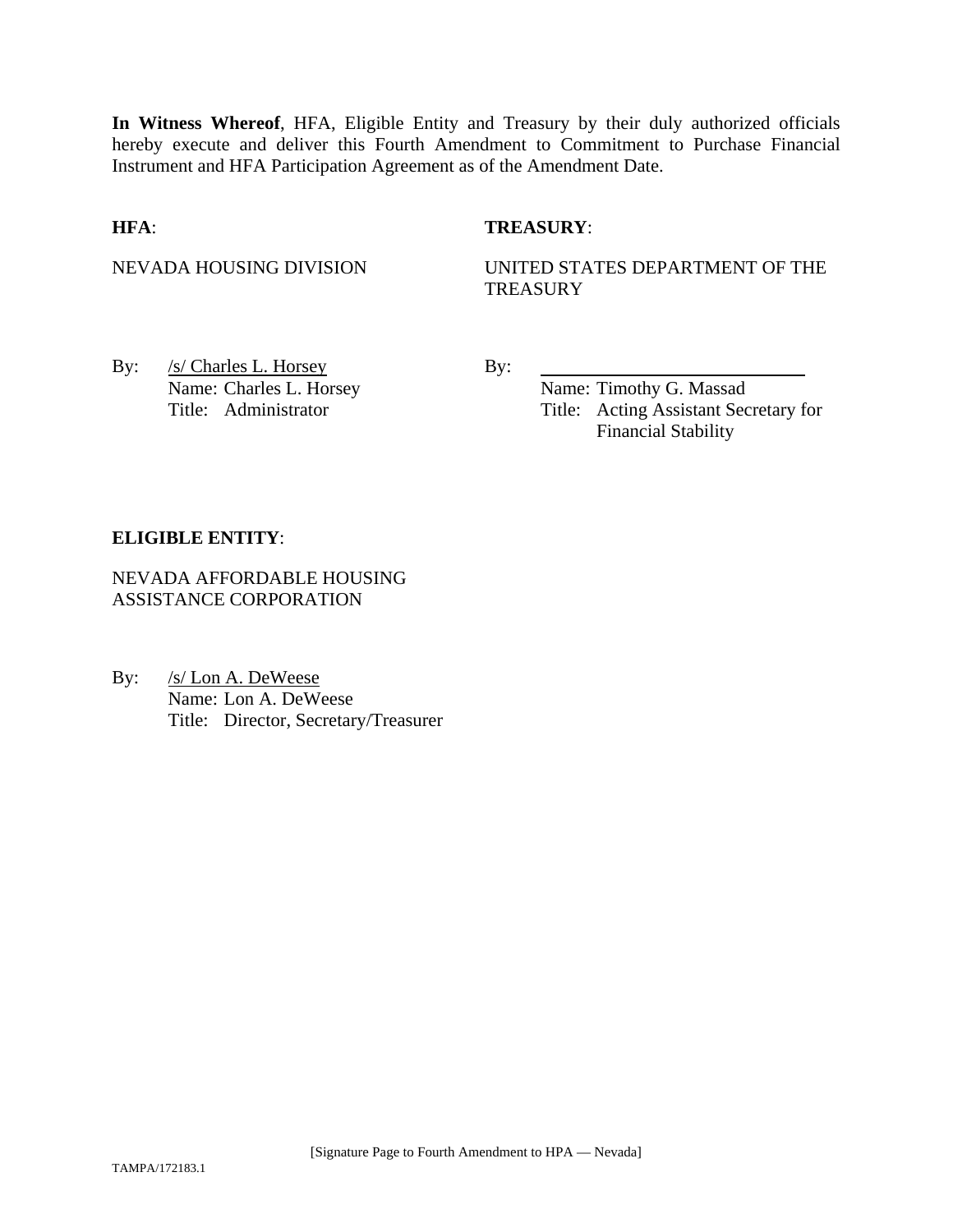**In Witness Whereof**, HFA, Eligible Entity and Treasury by their duly authorized officials hereby execute and deliver this Fourth Amendment to Commitment to Purchase Financial Instrument and HFA Participation Agreement as of the Amendment Date.

### **HFA**: **TREASURY**:

NEVADA HOUSING DIVISION UNITED STATES DEPARTMENT OF THE **TREASURY** 

By: <u>/s/ Charles L. Horsey</u> By: Name: Charles L. Horsey Name: Timothy G. Massad

Title: Administrator Title: Acting Assistant Secretary for Financial Stability

### **ELIGIBLE ENTITY**:

NEVADA AFFORDABLE HOUSING ASSISTANCE CORPORATION

By: /s/ Lon A. DeWeese Name: Lon A. DeWeese Title: Director, Secretary/Treasurer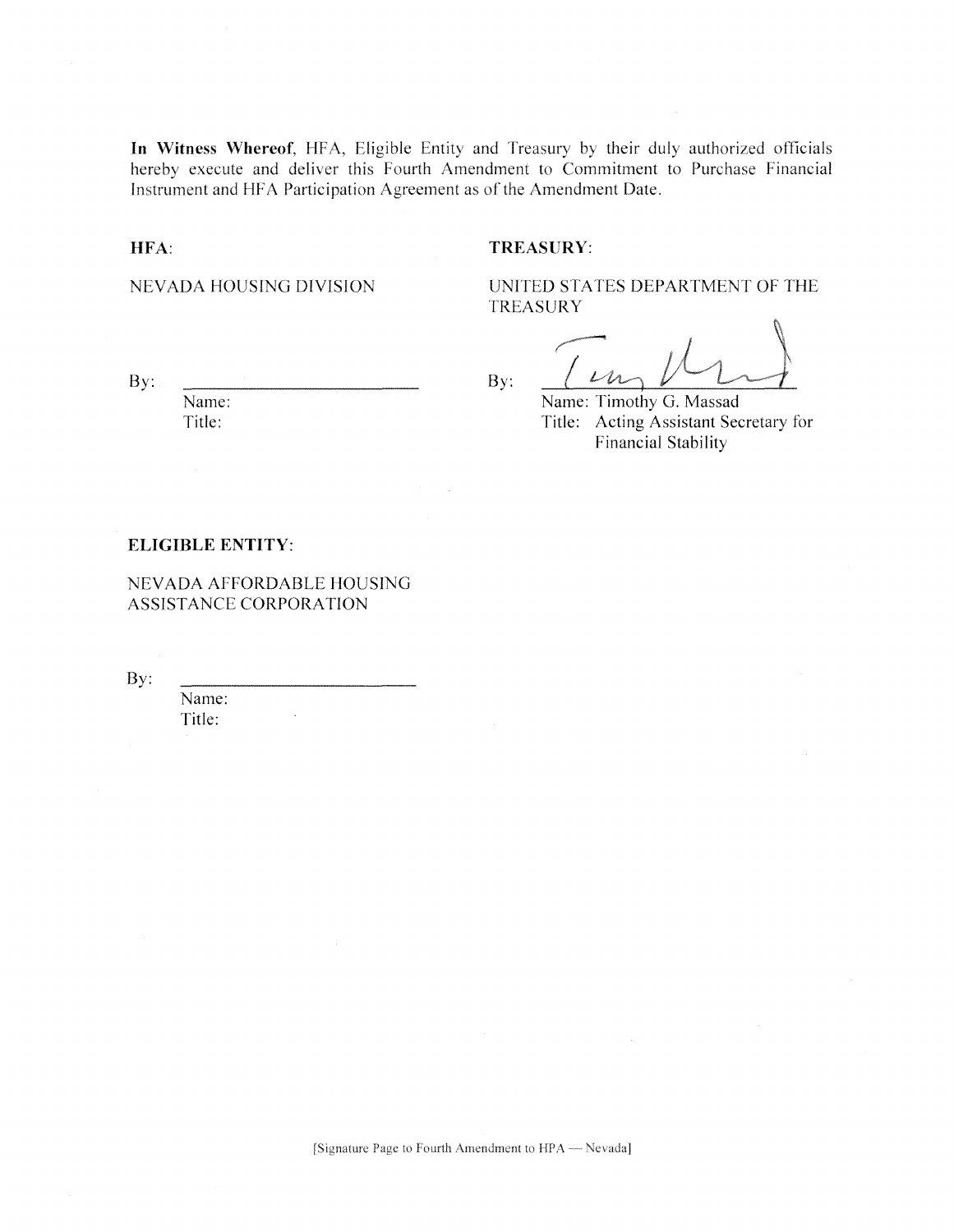In Witness Whereof, HFA, Eligible Entity and Treasury by their duly authorized officials hereby execute and deliver this Fourth Amendment to Commitment to Purchase Financial Instrument and HFA Participation Agreement as of the Amendment Date.

#### HFA:

#### TREASURY:

NEVADA HOUSING DIVISION

UNITED STATES DEPARTMENT OF THE **TREASURY** 

By:

Name: Title:

By: Name: Timothy G. Massad

Title: Acting Assistant Secretary for **Financial Stability** 

#### **ELIGIBLE ENTITY:**

NEVADA AFFORDABLE HOUSING ASSISTANCE CORPORATION

By:

Name: Title: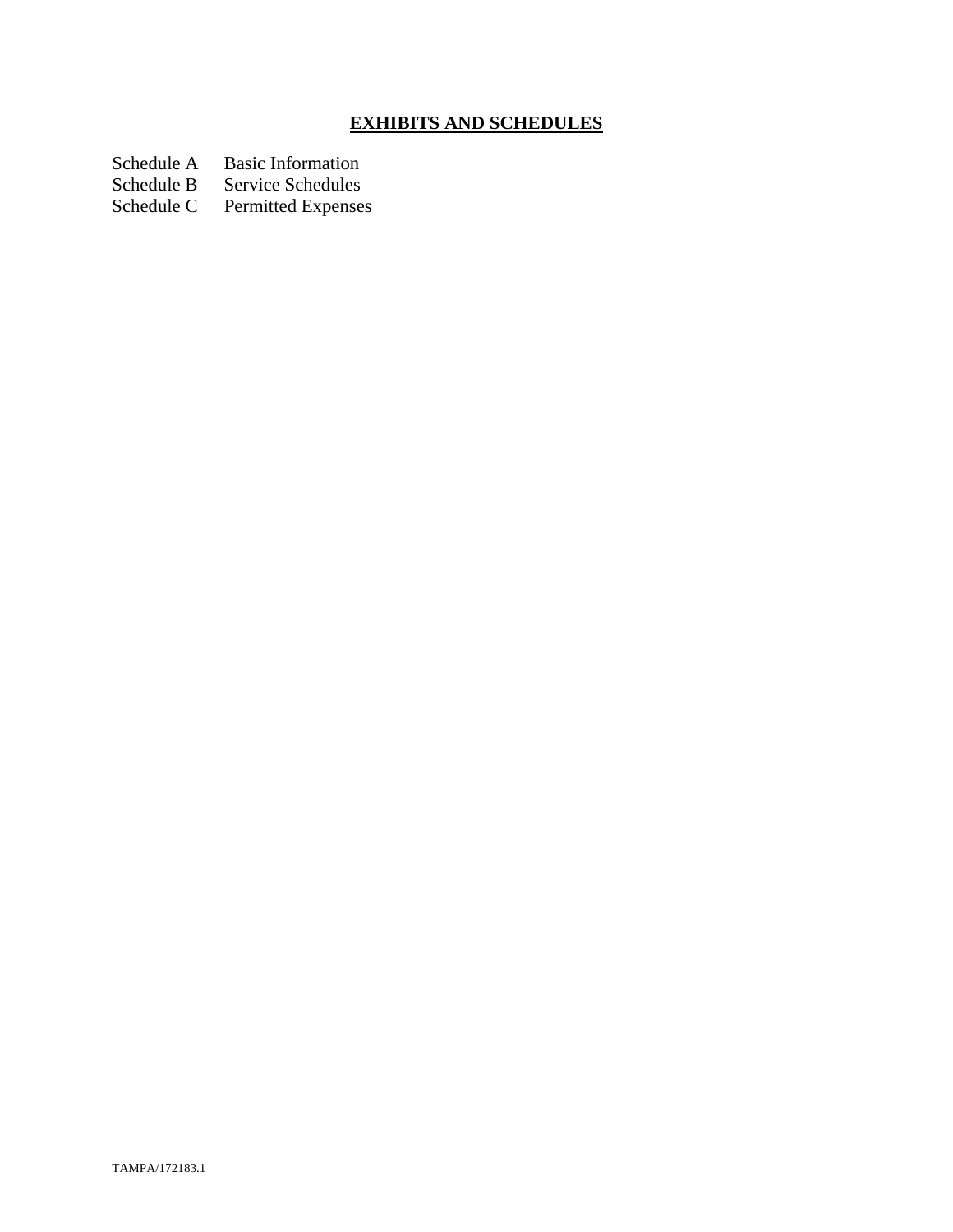# **EXHIBITS AND SCHEDULES**

Schedule A Basic Information<br>Schedule B Service Schedules

Schedule B Service Schedules<br>Schedule C Permitted Expenses

Permitted Expenses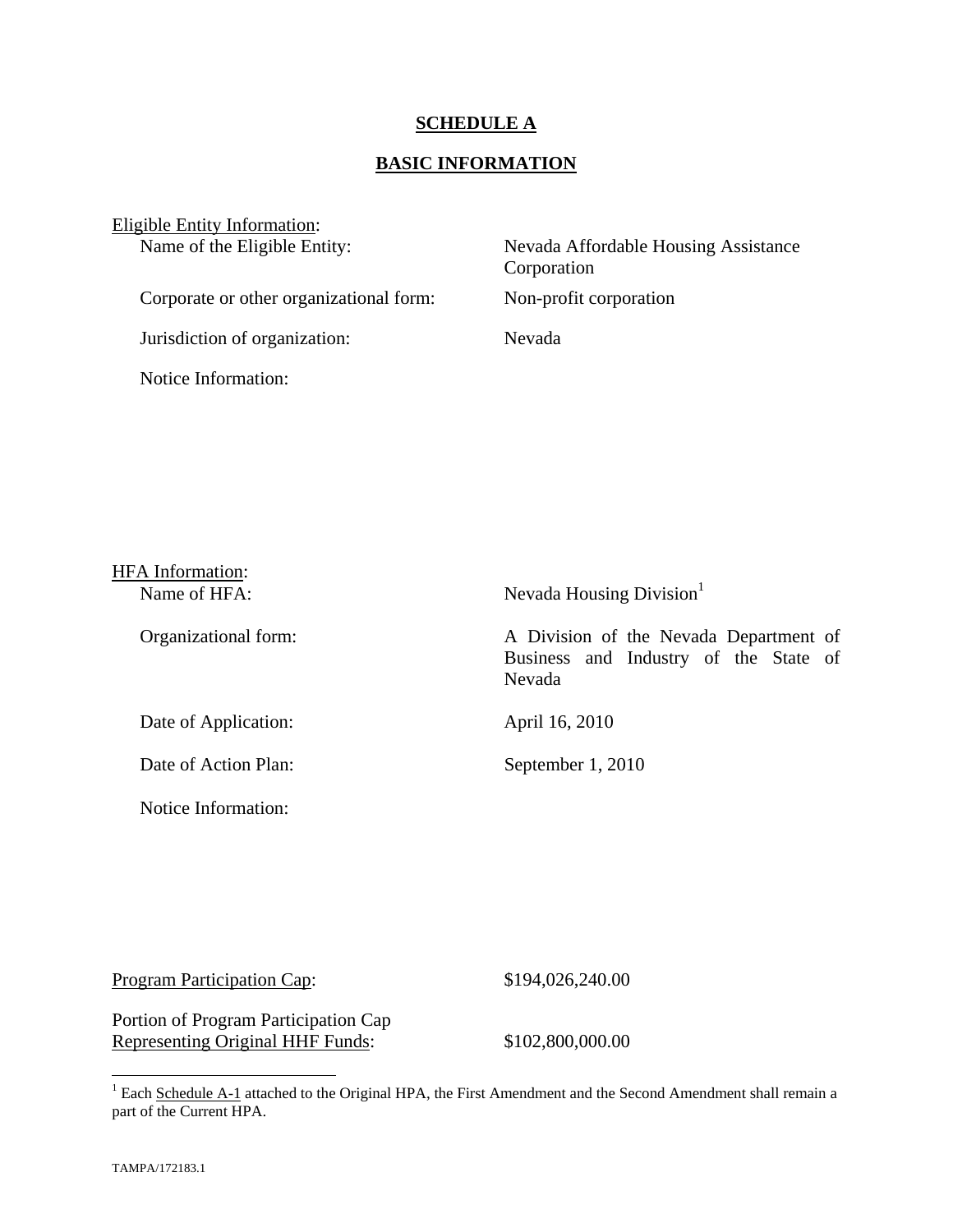### **SCHEDULE A**

### **BASIC INFORMATION**

| Eligible Entity Information:            |                                                     |
|-----------------------------------------|-----------------------------------------------------|
| Name of the Eligible Entity:            | Nevada Affordable Housing Assistance<br>Corporation |
| Corporate or other organizational form: | Non-profit corporation                              |
| Jurisdiction of organization:           | Nevada                                              |
| Notice Information:                     |                                                     |

| <b>HFA</b> Information: |                                                                                           |
|-------------------------|-------------------------------------------------------------------------------------------|
| Name of HFA:            | Nevada Housing Division <sup>1</sup>                                                      |
| Organizational form:    | A Division of the Nevada Department of<br>Business and Industry of the State of<br>Nevada |
| Date of Application:    | April 16, 2010                                                                            |
| Date of Action Plan:    | September 1, 2010                                                                         |
| Notice Information:     |                                                                                           |

| Program Participation Cap: | \$194,026,240.00 |
|----------------------------|------------------|
|                            |                  |

Portion of Program Participation Cap Representing Original HHF Funds: \$102,800,000.00

<sup>&</sup>lt;sup>1</sup> Each Schedule A-1 attached to the Original HPA, the First Amendment and the Second Amendment shall remain a part of the Current HPA.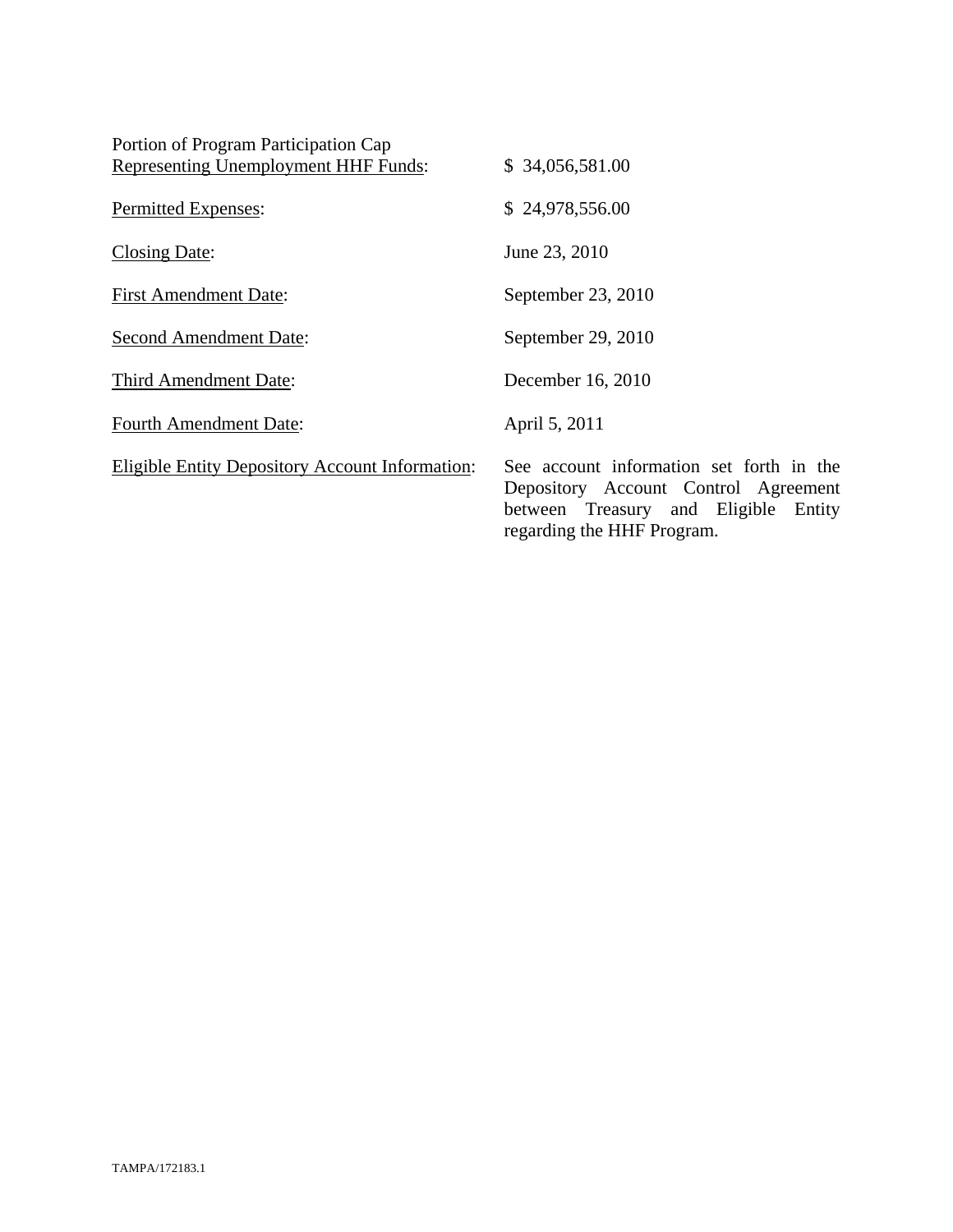| Portion of Program Participation Cap                   |                                                                                                                                                        |
|--------------------------------------------------------|--------------------------------------------------------------------------------------------------------------------------------------------------------|
| Representing Unemployment HHF Funds:                   | \$34,056,581.00                                                                                                                                        |
| Permitted Expenses:                                    | \$24,978,556.00                                                                                                                                        |
| <b>Closing Date:</b>                                   | June 23, 2010                                                                                                                                          |
| <b>First Amendment Date:</b>                           | September 23, 2010                                                                                                                                     |
| <b>Second Amendment Date:</b>                          | September 29, 2010                                                                                                                                     |
| Third Amendment Date:                                  | December 16, 2010                                                                                                                                      |
| <b>Fourth Amendment Date:</b>                          | April 5, 2011                                                                                                                                          |
| <b>Eligible Entity Depository Account Information:</b> | See account information set forth in the<br>Depository Account Control Agreement<br>between Treasury and Eligible Entity<br>regarding the HHF Program. |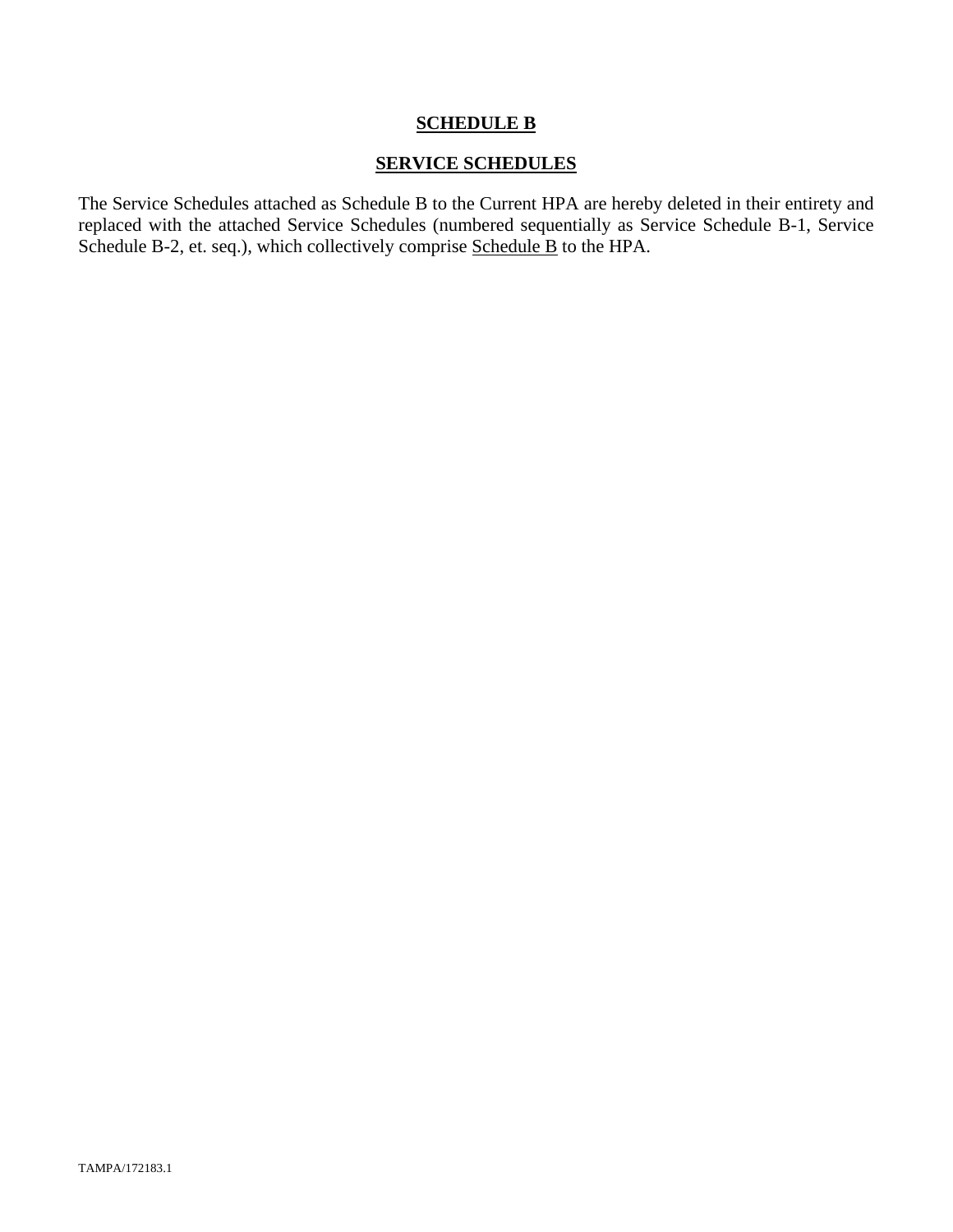### **SCHEDULE B**

### **SERVICE SCHEDULES**

The Service Schedules attached as Schedule B to the Current HPA are hereby deleted in their entirety and replaced with the attached Service Schedules (numbered sequentially as Service Schedule B-1, Service Schedule B-2, et. seq.), which collectively comprise Schedule B to the HPA.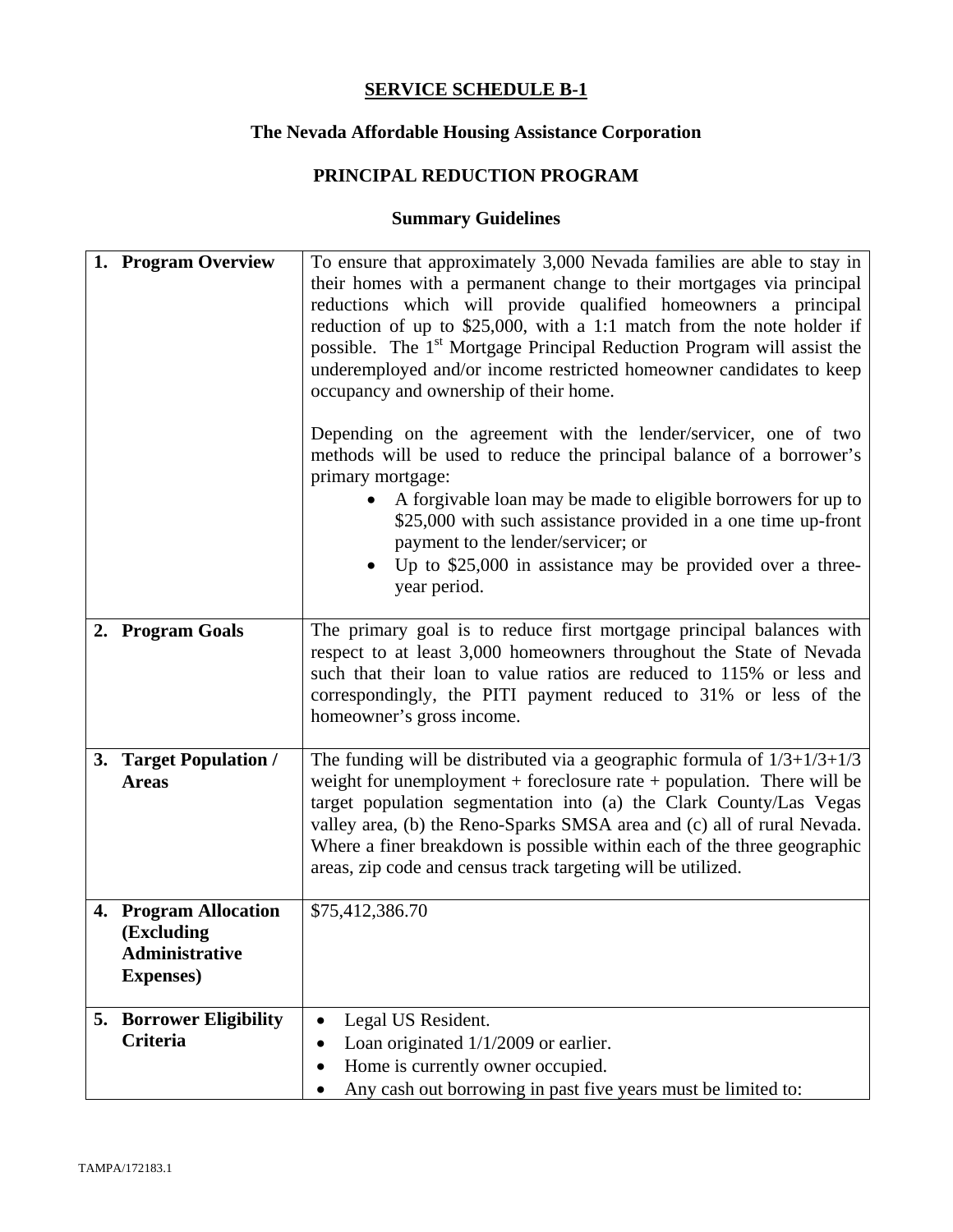# **The Nevada Affordable Housing Assistance Corporation**

# **PRINCIPAL REDUCTION PROGRAM**

| 1. Program Overview                                                               | To ensure that approximately 3,000 Nevada families are able to stay in<br>their homes with a permanent change to their mortgages via principal<br>reductions which will provide qualified homeowners a principal<br>reduction of up to $$25,000$ , with a 1:1 match from the note holder if<br>possible. The 1 <sup>st</sup> Mortgage Principal Reduction Program will assist the<br>underemployed and/or income restricted homeowner candidates to keep<br>occupancy and ownership of their home.<br>Depending on the agreement with the lender/servicer, one of two<br>methods will be used to reduce the principal balance of a borrower's<br>primary mortgage:<br>A forgivable loan may be made to eligible borrowers for up to<br>\$25,000 with such assistance provided in a one time up-front |
|-----------------------------------------------------------------------------------|------------------------------------------------------------------------------------------------------------------------------------------------------------------------------------------------------------------------------------------------------------------------------------------------------------------------------------------------------------------------------------------------------------------------------------------------------------------------------------------------------------------------------------------------------------------------------------------------------------------------------------------------------------------------------------------------------------------------------------------------------------------------------------------------------|
|                                                                                   | payment to the lender/servicer; or<br>Up to $$25,000$ in assistance may be provided over a three-<br>year period.                                                                                                                                                                                                                                                                                                                                                                                                                                                                                                                                                                                                                                                                                    |
| 2. Program Goals                                                                  | The primary goal is to reduce first mortgage principal balances with<br>respect to at least 3,000 homeowners throughout the State of Nevada<br>such that their loan to value ratios are reduced to 115% or less and<br>correspondingly, the PITI payment reduced to 31% or less of the<br>homeowner's gross income.                                                                                                                                                                                                                                                                                                                                                                                                                                                                                  |
| 3. Target Population /<br><b>Areas</b>                                            | The funding will be distributed via a geographic formula of $1/3+1/3+1/3$<br>weight for unemployment $+$ foreclosure rate $+$ population. There will be<br>target population segmentation into (a) the Clark County/Las Vegas<br>valley area, (b) the Reno-Sparks SMSA area and (c) all of rural Nevada.<br>Where a finer breakdown is possible within each of the three geographic<br>areas, zip code and census track targeting will be utilized.                                                                                                                                                                                                                                                                                                                                                  |
| 4. Program Allocation<br>(Excluding<br><b>Administrative</b><br><b>Expenses</b> ) | \$75,412,386.70                                                                                                                                                                                                                                                                                                                                                                                                                                                                                                                                                                                                                                                                                                                                                                                      |
| <b>5. Borrower Eligibility</b><br>Criteria                                        | Legal US Resident.<br>$\bullet$<br>Loan originated $1/1/2009$ or earlier.<br>$\bullet$<br>Home is currently owner occupied.<br>٠<br>Any cash out borrowing in past five years must be limited to:                                                                                                                                                                                                                                                                                                                                                                                                                                                                                                                                                                                                    |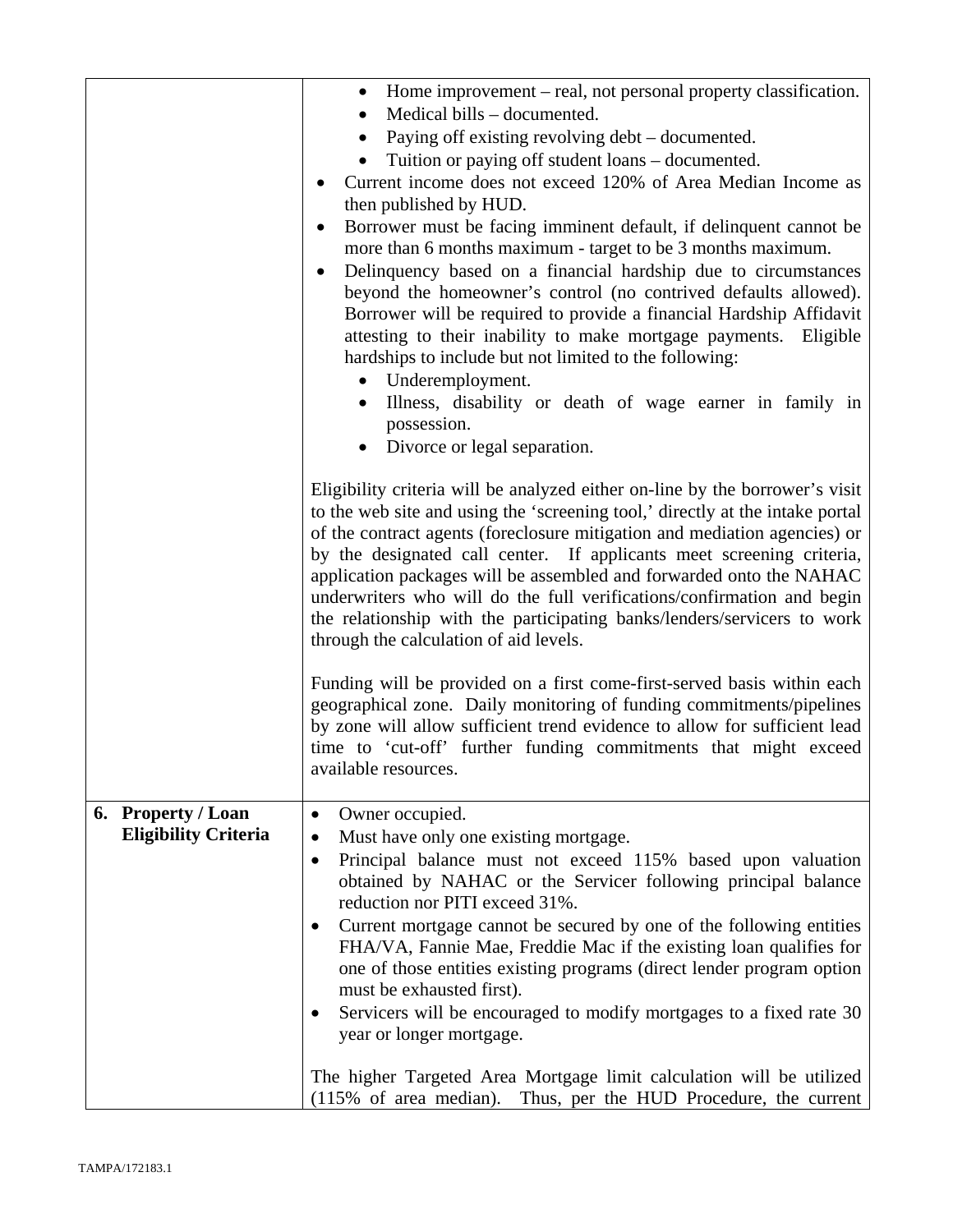|                                                   | Home improvement – real, not personal property classification.<br>Medical bills – documented.<br>Paying off existing revolving debt – documented.<br>$\bullet$<br>Tuition or paying off student loans – documented.<br>Current income does not exceed 120% of Area Median Income as<br>then published by HUD.<br>Borrower must be facing imminent default, if delinquent cannot be<br>٠<br>more than 6 months maximum - target to be 3 months maximum.<br>Delinquency based on a financial hardship due to circumstances<br>$\bullet$<br>beyond the homeowner's control (no contrived defaults allowed).<br>Borrower will be required to provide a financial Hardship Affidavit<br>attesting to their inability to make mortgage payments. Eligible<br>hardships to include but not limited to the following:<br>Underemployment.<br>Illness, disability or death of wage earner in family in<br>possession.<br>Divorce or legal separation.<br>Eligibility criteria will be analyzed either on-line by the borrower's visit<br>to the web site and using the 'screening tool,' directly at the intake portal<br>of the contract agents (foreclosure mitigation and mediation agencies) or<br>by the designated call center. If applicants meet screening criteria,<br>application packages will be assembled and forwarded onto the NAHAC<br>underwriters who will do the full verifications/confirmation and begin<br>the relationship with the participating banks/lenders/servicers to work<br>through the calculation of aid levels. |
|---------------------------------------------------|-------------------------------------------------------------------------------------------------------------------------------------------------------------------------------------------------------------------------------------------------------------------------------------------------------------------------------------------------------------------------------------------------------------------------------------------------------------------------------------------------------------------------------------------------------------------------------------------------------------------------------------------------------------------------------------------------------------------------------------------------------------------------------------------------------------------------------------------------------------------------------------------------------------------------------------------------------------------------------------------------------------------------------------------------------------------------------------------------------------------------------------------------------------------------------------------------------------------------------------------------------------------------------------------------------------------------------------------------------------------------------------------------------------------------------------------------------------------------------------------------------------------------------------------|
|                                                   | Funding will be provided on a first come-first-served basis within each<br>geographical zone. Daily monitoring of funding commitments/pipelines<br>by zone will allow sufficient trend evidence to allow for sufficient lead<br>time to 'cut-off' further funding commitments that might exceed<br>available resources.                                                                                                                                                                                                                                                                                                                                                                                                                                                                                                                                                                                                                                                                                                                                                                                                                                                                                                                                                                                                                                                                                                                                                                                                                   |
| 6. Property / Loan<br><b>Eligibility Criteria</b> | Owner occupied.<br>Must have only one existing mortgage.<br>Principal balance must not exceed 115% based upon valuation<br>obtained by NAHAC or the Servicer following principal balance<br>reduction nor PITI exceed 31%.<br>Current mortgage cannot be secured by one of the following entities<br>FHA/VA, Fannie Mae, Freddie Mac if the existing loan qualifies for<br>one of those entities existing programs (direct lender program option<br>must be exhausted first).<br>Servicers will be encouraged to modify mortgages to a fixed rate 30<br>year or longer mortgage.<br>The higher Targeted Area Mortgage limit calculation will be utilized<br>(115% of area median). Thus, per the HUD Procedure, the current                                                                                                                                                                                                                                                                                                                                                                                                                                                                                                                                                                                                                                                                                                                                                                                                               |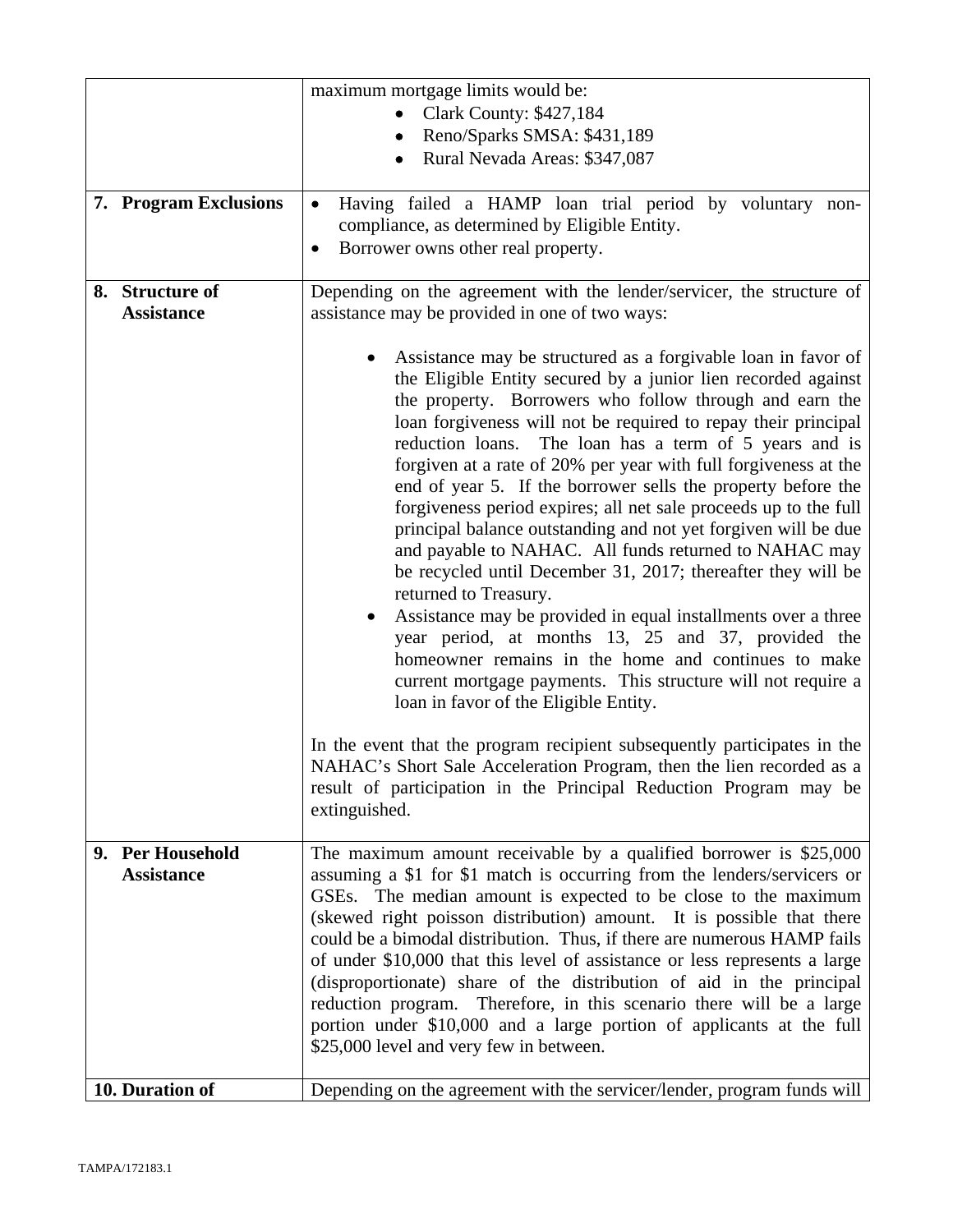|                                       | maximum mortgage limits would be:                                                                                                                                                                                                                                                                                                                                                                                                                                                                                                                                                                                                                                                                                                                                                                                                                                                                                                                                                                                                          |
|---------------------------------------|--------------------------------------------------------------------------------------------------------------------------------------------------------------------------------------------------------------------------------------------------------------------------------------------------------------------------------------------------------------------------------------------------------------------------------------------------------------------------------------------------------------------------------------------------------------------------------------------------------------------------------------------------------------------------------------------------------------------------------------------------------------------------------------------------------------------------------------------------------------------------------------------------------------------------------------------------------------------------------------------------------------------------------------------|
|                                       | <b>Clark County: \$427,184</b>                                                                                                                                                                                                                                                                                                                                                                                                                                                                                                                                                                                                                                                                                                                                                                                                                                                                                                                                                                                                             |
|                                       | Reno/Sparks SMSA: \$431,189                                                                                                                                                                                                                                                                                                                                                                                                                                                                                                                                                                                                                                                                                                                                                                                                                                                                                                                                                                                                                |
|                                       | Rural Nevada Areas: \$347,087                                                                                                                                                                                                                                                                                                                                                                                                                                                                                                                                                                                                                                                                                                                                                                                                                                                                                                                                                                                                              |
|                                       |                                                                                                                                                                                                                                                                                                                                                                                                                                                                                                                                                                                                                                                                                                                                                                                                                                                                                                                                                                                                                                            |
| 7. Program Exclusions                 | Having failed a HAMP loan trial period by voluntary non-<br>$\bullet$<br>compliance, as determined by Eligible Entity.<br>Borrower owns other real property.<br>$\bullet$                                                                                                                                                                                                                                                                                                                                                                                                                                                                                                                                                                                                                                                                                                                                                                                                                                                                  |
| 8. Structure of<br><b>Assistance</b>  | Depending on the agreement with the lender/servicer, the structure of<br>assistance may be provided in one of two ways:                                                                                                                                                                                                                                                                                                                                                                                                                                                                                                                                                                                                                                                                                                                                                                                                                                                                                                                    |
|                                       | Assistance may be structured as a forgivable loan in favor of<br>the Eligible Entity secured by a junior lien recorded against<br>the property. Borrowers who follow through and earn the<br>loan forgiveness will not be required to repay their principal<br>The loan has a term of 5 years and is<br>reduction loans.<br>forgiven at a rate of 20% per year with full forgiveness at the<br>end of year 5. If the borrower sells the property before the<br>forgiveness period expires; all net sale proceeds up to the full<br>principal balance outstanding and not yet forgiven will be due<br>and payable to NAHAC. All funds returned to NAHAC may<br>be recycled until December 31, 2017; thereafter they will be<br>returned to Treasury.<br>Assistance may be provided in equal installments over a three<br>year period, at months 13, 25 and 37, provided the<br>homeowner remains in the home and continues to make<br>current mortgage payments. This structure will not require a<br>loan in favor of the Eligible Entity. |
|                                       | In the event that the program recipient subsequently participates in the<br>NAHAC's Short Sale Acceleration Program, then the lien recorded as a<br>result of participation in the Principal Reduction Program may be<br>extinguished.                                                                                                                                                                                                                                                                                                                                                                                                                                                                                                                                                                                                                                                                                                                                                                                                     |
| 9. Per Household<br><b>Assistance</b> | The maximum amount receivable by a qualified borrower is \$25,000<br>assuming a \$1 for \$1 match is occurring from the lenders/servicers or<br>GSEs. The median amount is expected to be close to the maximum<br>(skewed right poisson distribution) amount. It is possible that there<br>could be a bimodal distribution. Thus, if there are numerous HAMP fails<br>of under \$10,000 that this level of assistance or less represents a large<br>(disproportionate) share of the distribution of aid in the principal<br>reduction program. Therefore, in this scenario there will be a large<br>portion under \$10,000 and a large portion of applicants at the full<br>\$25,000 level and very few in between.                                                                                                                                                                                                                                                                                                                        |
| 10. Duration of                       | Depending on the agreement with the servicer/lender, program funds will                                                                                                                                                                                                                                                                                                                                                                                                                                                                                                                                                                                                                                                                                                                                                                                                                                                                                                                                                                    |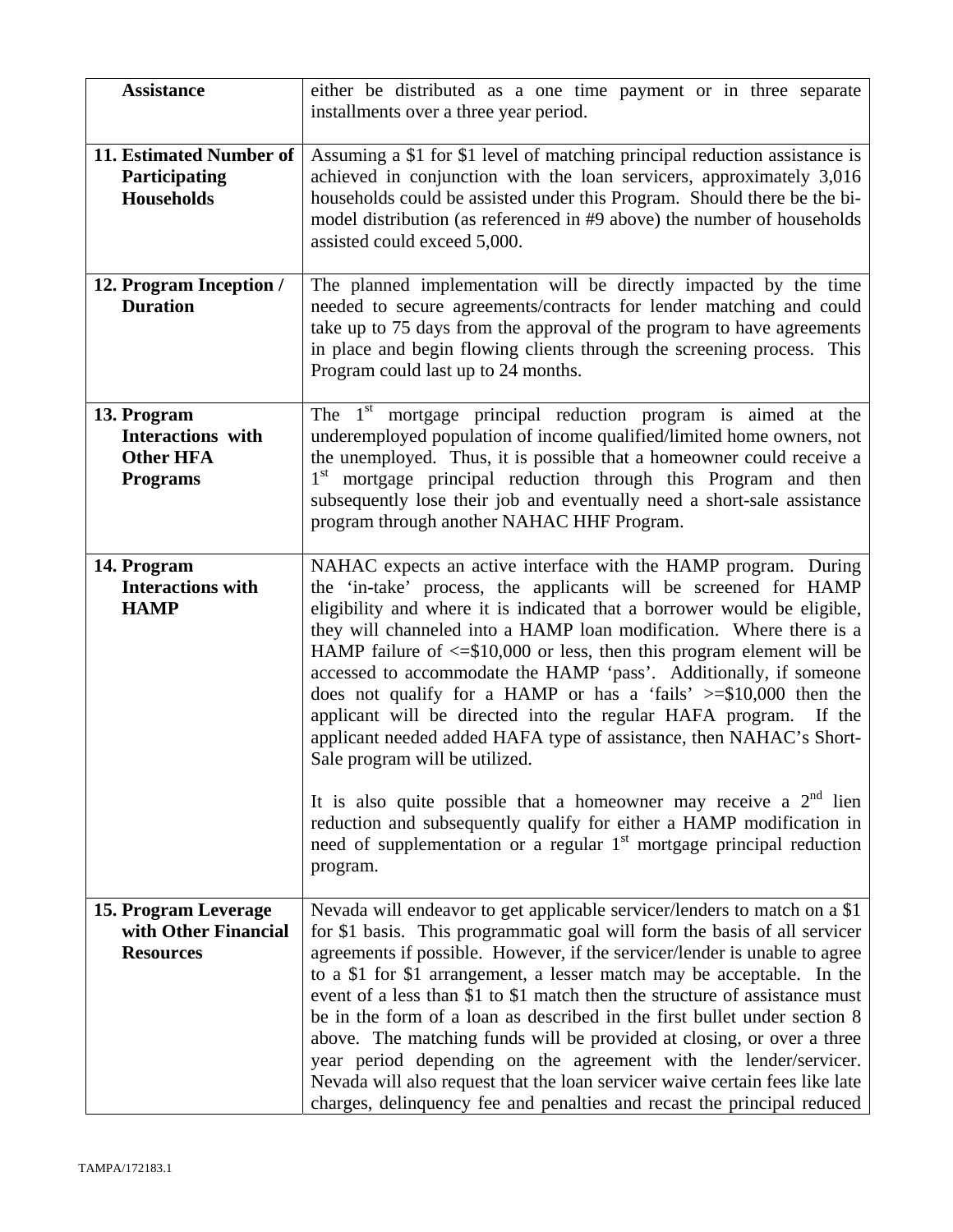| <b>Assistance</b>                                                              | either be distributed as a one time payment or in three separate<br>installments over a three year period.                                                                                                                                                                                                                                                                                                                                                                                                                                                                                                                                                                                                                                                                          |
|--------------------------------------------------------------------------------|-------------------------------------------------------------------------------------------------------------------------------------------------------------------------------------------------------------------------------------------------------------------------------------------------------------------------------------------------------------------------------------------------------------------------------------------------------------------------------------------------------------------------------------------------------------------------------------------------------------------------------------------------------------------------------------------------------------------------------------------------------------------------------------|
| 11. Estimated Number of<br>Participating<br><b>Households</b>                  | Assuming a \$1 for \$1 level of matching principal reduction assistance is<br>achieved in conjunction with the loan servicers, approximately 3,016<br>households could be assisted under this Program. Should there be the bi-<br>model distribution (as referenced in #9 above) the number of households<br>assisted could exceed 5,000.                                                                                                                                                                                                                                                                                                                                                                                                                                           |
| 12. Program Inception /<br><b>Duration</b>                                     | The planned implementation will be directly impacted by the time<br>needed to secure agreements/contracts for lender matching and could<br>take up to 75 days from the approval of the program to have agreements<br>in place and begin flowing clients through the screening process. This<br>Program could last up to 24 months.                                                                                                                                                                                                                                                                                                                                                                                                                                                  |
| 13. Program<br><b>Interactions</b> with<br><b>Other HFA</b><br><b>Programs</b> | The $1st$<br>mortgage principal reduction program is aimed at the<br>underemployed population of income qualified/limited home owners, not<br>the unemployed. Thus, it is possible that a homeowner could receive a<br>1 <sup>st</sup> mortgage principal reduction through this Program and then<br>subsequently lose their job and eventually need a short-sale assistance<br>program through another NAHAC HHF Program.                                                                                                                                                                                                                                                                                                                                                          |
| 14. Program<br><b>Interactions with</b><br><b>HAMP</b>                         | NAHAC expects an active interface with the HAMP program. During<br>the 'in-take' process, the applicants will be screened for HAMP<br>eligibility and where it is indicated that a borrower would be eligible,<br>they will channeled into a HAMP loan modification. Where there is a<br>HAMP failure of $\leq$ \$10,000 or less, then this program element will be<br>accessed to accommodate the HAMP 'pass'. Additionally, if someone<br>does not qualify for a HAMP or has a 'fails' $\ge$ =\$10,000 then the<br>applicant will be directed into the regular HAFA program. If the<br>applicant needed added HAFA type of assistance, then NAHAC's Short-<br>Sale program will be utilized.<br>It is also quite possible that a homeowner may receive a $2nd$ lien               |
|                                                                                | reduction and subsequently qualify for either a HAMP modification in<br>need of supplementation or a regular 1 <sup>st</sup> mortgage principal reduction<br>program.                                                                                                                                                                                                                                                                                                                                                                                                                                                                                                                                                                                                               |
| 15. Program Leverage<br>with Other Financial<br><b>Resources</b>               | Nevada will endeavor to get applicable servicer/lenders to match on a \$1<br>for \$1 basis. This programmatic goal will form the basis of all servicer<br>agreements if possible. However, if the servicer/lender is unable to agree<br>to a \$1 for \$1 arrangement, a lesser match may be acceptable. In the<br>event of a less than \$1 to \$1 match then the structure of assistance must<br>be in the form of a loan as described in the first bullet under section 8<br>above. The matching funds will be provided at closing, or over a three<br>year period depending on the agreement with the lender/servicer.<br>Nevada will also request that the loan servicer waive certain fees like late<br>charges, delinquency fee and penalties and recast the principal reduced |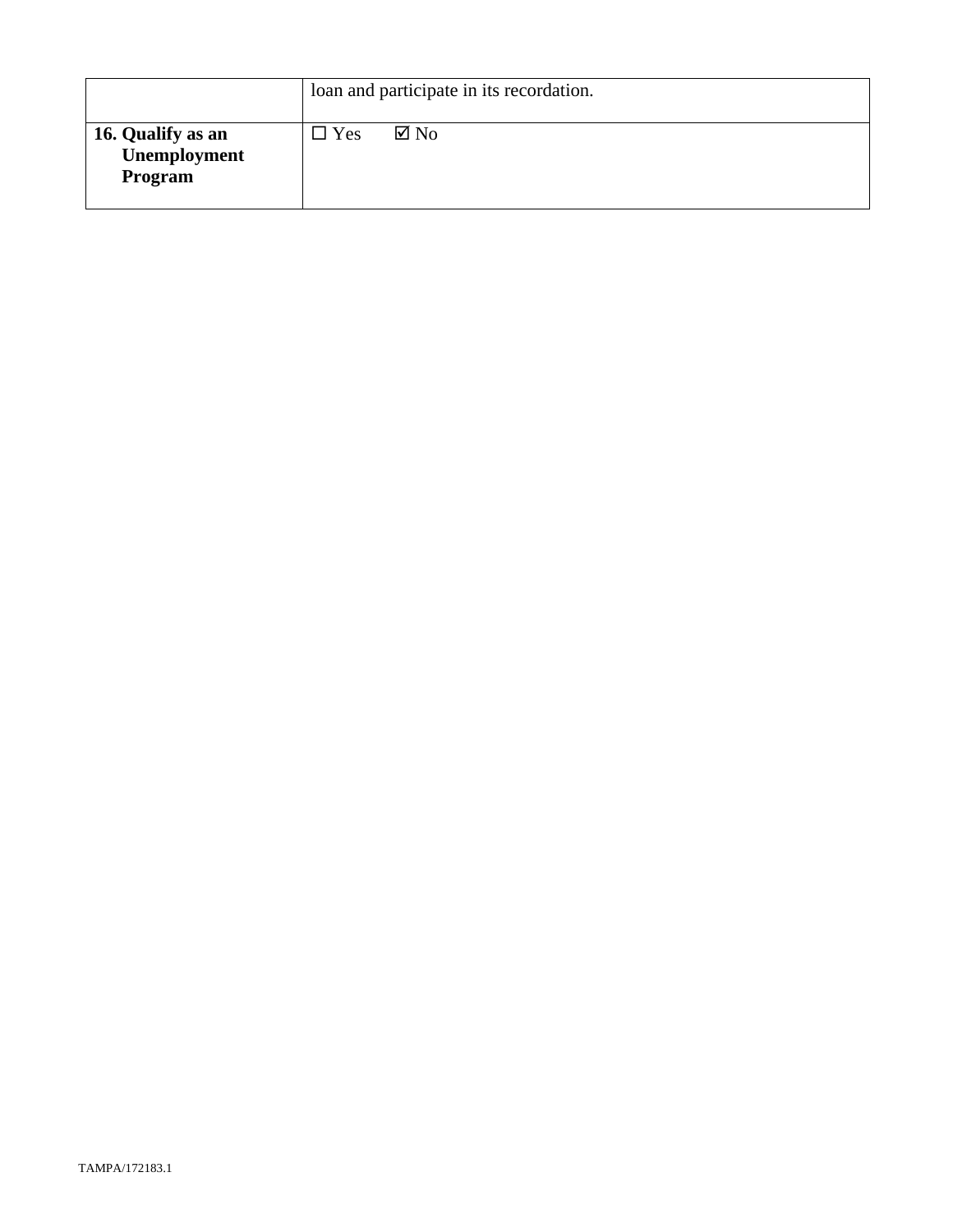|                                              | loan and participate in its recordation. |                |
|----------------------------------------------|------------------------------------------|----------------|
| 16. Qualify as an<br>Unemployment<br>Program | $\Box$ Yes                               | $\boxtimes$ No |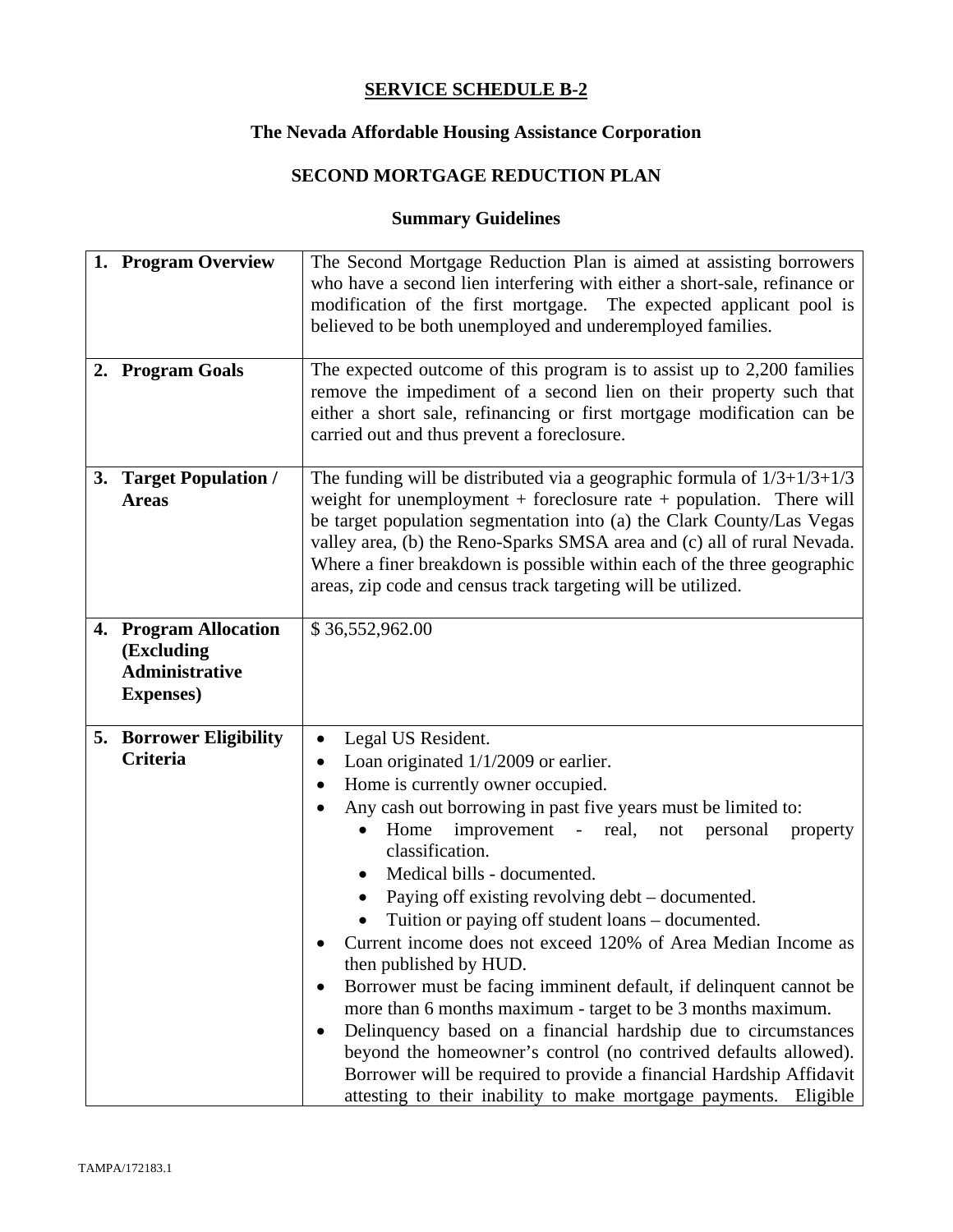# **The Nevada Affordable Housing Assistance Corporation**

# **SECOND MORTGAGE REDUCTION PLAN**

| 1. Program Overview                                                               | The Second Mortgage Reduction Plan is aimed at assisting borrowers<br>who have a second lien interfering with either a short-sale, refinance or<br>modification of the first mortgage. The expected applicant pool is<br>believed to be both unemployed and underemployed families.                                                                                                                                                                                                                                                                                                                                                                                                                                                                                                                                                                                                                                                                              |  |  |
|-----------------------------------------------------------------------------------|------------------------------------------------------------------------------------------------------------------------------------------------------------------------------------------------------------------------------------------------------------------------------------------------------------------------------------------------------------------------------------------------------------------------------------------------------------------------------------------------------------------------------------------------------------------------------------------------------------------------------------------------------------------------------------------------------------------------------------------------------------------------------------------------------------------------------------------------------------------------------------------------------------------------------------------------------------------|--|--|
| 2. Program Goals                                                                  | The expected outcome of this program is to assist up to 2,200 families<br>remove the impediment of a second lien on their property such that<br>either a short sale, refinancing or first mortgage modification can be<br>carried out and thus prevent a foreclosure.                                                                                                                                                                                                                                                                                                                                                                                                                                                                                                                                                                                                                                                                                            |  |  |
| 3. Target Population /<br><b>Areas</b>                                            | The funding will be distributed via a geographic formula of $1/3+1/3+1/3$<br>weight for unemployment $+$ foreclosure rate $+$ population. There will<br>be target population segmentation into (a) the Clark County/Las Vegas<br>valley area, (b) the Reno-Sparks SMSA area and (c) all of rural Nevada.<br>Where a finer breakdown is possible within each of the three geographic<br>areas, zip code and census track targeting will be utilized.                                                                                                                                                                                                                                                                                                                                                                                                                                                                                                              |  |  |
| 4. Program Allocation<br>(Excluding<br><b>Administrative</b><br><b>Expenses</b> ) | \$36,552,962.00                                                                                                                                                                                                                                                                                                                                                                                                                                                                                                                                                                                                                                                                                                                                                                                                                                                                                                                                                  |  |  |
| <b>5. Borrower Eligibility</b><br><b>Criteria</b>                                 | Legal US Resident.<br>$\bullet$<br>Loan originated $1/1/2009$ or earlier.<br>$\bullet$<br>Home is currently owner occupied.<br>$\bullet$<br>Any cash out borrowing in past five years must be limited to:<br>improvement - real,<br>Home<br>not<br>personal<br>property<br>$\bullet$<br>classification.<br>Medical bills - documented.<br>Paying off existing revolving debt – documented.<br>Tuition or paying off student loans – documented.<br>Current income does not exceed 120% of Area Median Income as<br>then published by HUD.<br>Borrower must be facing imminent default, if delinquent cannot be<br>more than 6 months maximum - target to be 3 months maximum.<br>Delinquency based on a financial hardship due to circumstances<br>beyond the homeowner's control (no contrived defaults allowed).<br>Borrower will be required to provide a financial Hardship Affidavit<br>attesting to their inability to make mortgage payments.<br>Eligible |  |  |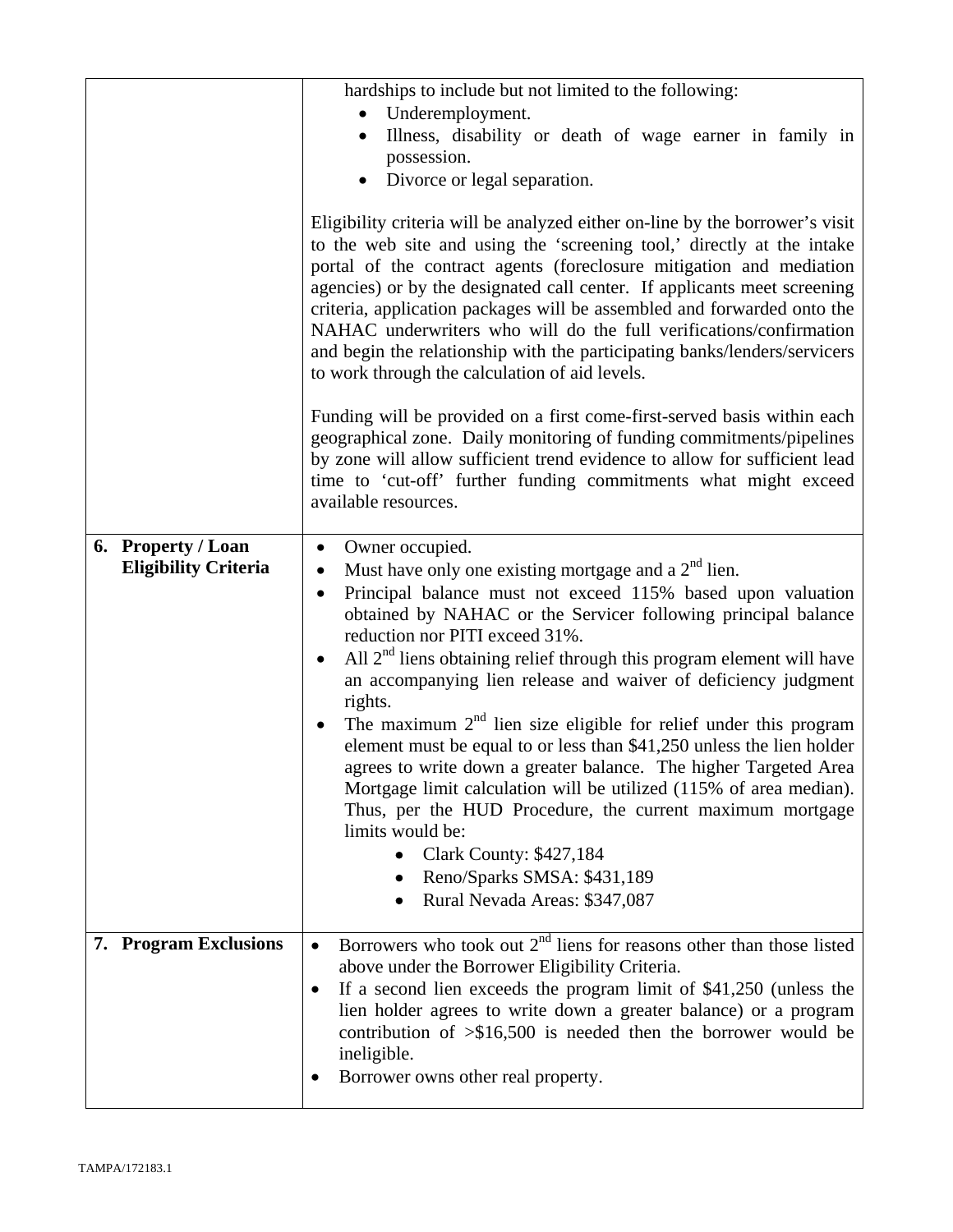|                                                   | hardships to include but not limited to the following:<br>Underemployment.<br>$\bullet$<br>Illness, disability or death of wage earner in family in<br>$\bullet$<br>possession.<br>Divorce or legal separation.<br>$\bullet$<br>Eligibility criteria will be analyzed either on-line by the borrower's visit<br>to the web site and using the 'screening tool,' directly at the intake<br>portal of the contract agents (foreclosure mitigation and mediation<br>agencies) or by the designated call center. If applicants meet screening<br>criteria, application packages will be assembled and forwarded onto the<br>NAHAC underwriters who will do the full verifications/confirmation<br>and begin the relationship with the participating banks/lenders/servicers<br>to work through the calculation of aid levels.<br>Funding will be provided on a first come-first-served basis within each<br>geographical zone. Daily monitoring of funding commitments/pipelines<br>by zone will allow sufficient trend evidence to allow for sufficient lead<br>time to 'cut-off' further funding commitments what might exceed<br>available resources. |
|---------------------------------------------------|------------------------------------------------------------------------------------------------------------------------------------------------------------------------------------------------------------------------------------------------------------------------------------------------------------------------------------------------------------------------------------------------------------------------------------------------------------------------------------------------------------------------------------------------------------------------------------------------------------------------------------------------------------------------------------------------------------------------------------------------------------------------------------------------------------------------------------------------------------------------------------------------------------------------------------------------------------------------------------------------------------------------------------------------------------------------------------------------------------------------------------------------------|
| 6. Property / Loan<br><b>Eligibility Criteria</b> | Owner occupied.<br>$\bullet$<br>Must have only one existing mortgage and a $2nd$ lien.<br>٠<br>Principal balance must not exceed 115% based upon valuation<br>$\bullet$<br>obtained by NAHAC or the Servicer following principal balance<br>reduction nor PITI exceed 31%.<br>All $2nd$ liens obtaining relief through this program element will have<br>$\bullet$<br>an accompanying lien release and waiver of deficiency judgment<br>rights.<br>The maximum $2nd$ lien size eligible for relief under this program<br>element must be equal to or less than \$41,250 unless the lien holder<br>agrees to write down a greater balance. The higher Targeted Area<br>Mortgage limit calculation will be utilized (115% of area median).<br>Thus, per the HUD Procedure, the current maximum mortgage<br>limits would be:<br><b>Clark County: \$427,184</b><br>Reno/Sparks SMSA: \$431,189<br>Rural Nevada Areas: \$347,087                                                                                                                                                                                                                          |
| 7. Program Exclusions                             | Borrowers who took out $2nd$ liens for reasons other than those listed<br>$\bullet$<br>above under the Borrower Eligibility Criteria.<br>If a second lien exceeds the program limit of $$41,250$ (unless the<br>$\bullet$<br>lien holder agrees to write down a greater balance) or a program<br>contribution of $\frac{1}{500}$ is needed then the borrower would be<br>ineligible.<br>Borrower owns other real property.                                                                                                                                                                                                                                                                                                                                                                                                                                                                                                                                                                                                                                                                                                                           |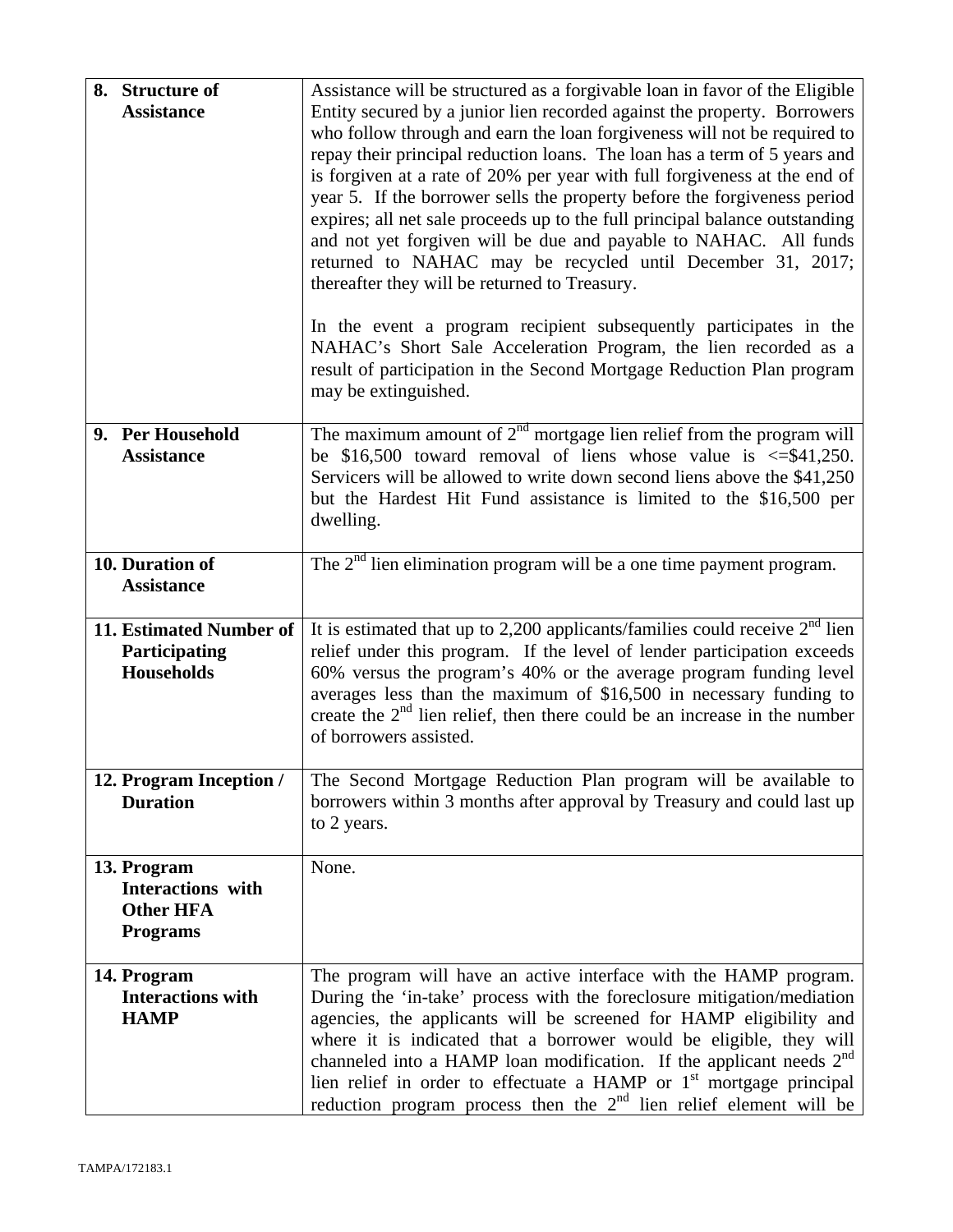| 8. Structure of<br><b>Assistance</b>                                    | Assistance will be structured as a forgivable loan in favor of the Eligible<br>Entity secured by a junior lien recorded against the property. Borrowers<br>who follow through and earn the loan forgiveness will not be required to<br>repay their principal reduction loans. The loan has a term of 5 years and<br>is forgiven at a rate of 20% per year with full forgiveness at the end of<br>year 5. If the borrower sells the property before the forgiveness period<br>expires; all net sale proceeds up to the full principal balance outstanding<br>and not yet forgiven will be due and payable to NAHAC. All funds<br>returned to NAHAC may be recycled until December 31, 2017; |
|-------------------------------------------------------------------------|--------------------------------------------------------------------------------------------------------------------------------------------------------------------------------------------------------------------------------------------------------------------------------------------------------------------------------------------------------------------------------------------------------------------------------------------------------------------------------------------------------------------------------------------------------------------------------------------------------------------------------------------------------------------------------------------|
|                                                                         | thereafter they will be returned to Treasury.<br>In the event a program recipient subsequently participates in the<br>NAHAC's Short Sale Acceleration Program, the lien recorded as a<br>result of participation in the Second Mortgage Reduction Plan program<br>may be extinguished.                                                                                                                                                                                                                                                                                                                                                                                                     |
| 9. Per Household<br><b>Assistance</b>                                   | The maximum amount of $2nd$ mortgage lien relief from the program will<br>be $$16,500$ toward removal of liens whose value is $\leq$ \$41,250.<br>Servicers will be allowed to write down second liens above the \$41,250<br>but the Hardest Hit Fund assistance is limited to the \$16,500 per<br>dwelling.                                                                                                                                                                                                                                                                                                                                                                               |
| 10. Duration of<br><b>Assistance</b>                                    | The $2nd$ lien elimination program will be a one time payment program.                                                                                                                                                                                                                                                                                                                                                                                                                                                                                                                                                                                                                     |
| 11. Estimated Number of<br>Participating<br><b>Households</b>           | It is estimated that up to 2,200 applicants/families could receive $2nd$ lien<br>relief under this program. If the level of lender participation exceeds<br>60% versus the program's 40% or the average program funding level<br>averages less than the maximum of \$16,500 in necessary funding to<br>create the $2nd$ lien relief, then there could be an increase in the number<br>of borrowers assisted.                                                                                                                                                                                                                                                                               |
| 12. Program Inception /<br><b>Duration</b>                              | The Second Mortgage Reduction Plan program will be available to<br>borrowers within 3 months after approval by Treasury and could last up<br>to 2 years.                                                                                                                                                                                                                                                                                                                                                                                                                                                                                                                                   |
| 13. Program<br>Interactions with<br><b>Other HFA</b><br><b>Programs</b> | None.                                                                                                                                                                                                                                                                                                                                                                                                                                                                                                                                                                                                                                                                                      |
| 14. Program<br><b>Interactions with</b><br><b>HAMP</b>                  | The program will have an active interface with the HAMP program.<br>During the 'in-take' process with the foreclosure mitigation/mediation<br>agencies, the applicants will be screened for HAMP eligibility and<br>where it is indicated that a borrower would be eligible, they will<br>channeled into a HAMP loan modification. If the applicant needs $2nd$<br>lien relief in order to effectuate a HAMP or 1 <sup>st</sup> mortgage principal<br>reduction program process then the $2nd$ lien relief element will be                                                                                                                                                                 |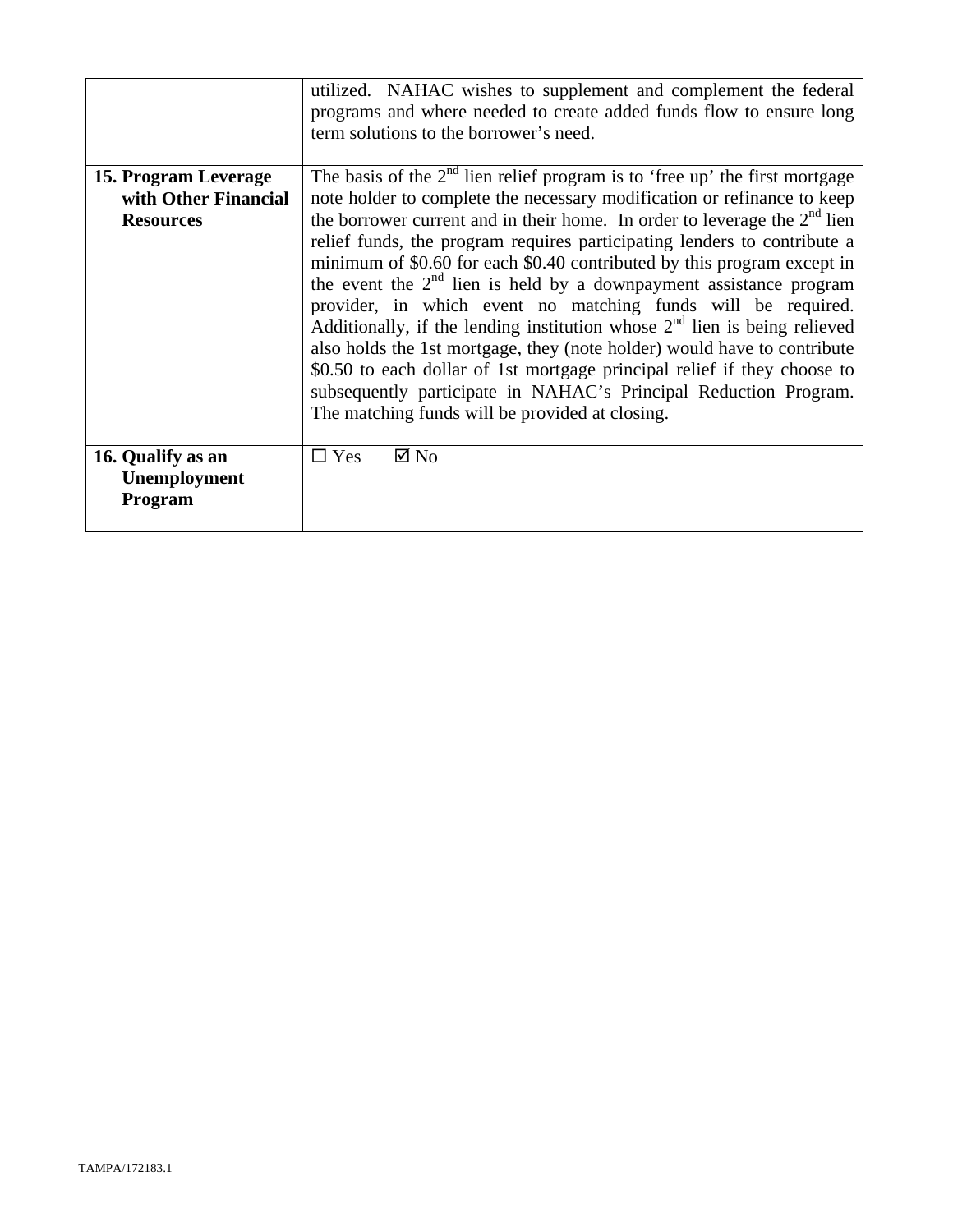|                                              | utilized. NAHAC wishes to supplement and complement the federal<br>programs and where needed to create added funds flow to ensure long<br>term solutions to the borrower's need.                                                                                                                                                                                                                                                                                                                                                                                                                                                                                                                                                         |  |
|----------------------------------------------|------------------------------------------------------------------------------------------------------------------------------------------------------------------------------------------------------------------------------------------------------------------------------------------------------------------------------------------------------------------------------------------------------------------------------------------------------------------------------------------------------------------------------------------------------------------------------------------------------------------------------------------------------------------------------------------------------------------------------------------|--|
| 15. Program Leverage<br>with Other Financial | The basis of the $2nd$ lien relief program is to 'free up' the first mortgage<br>note holder to complete the necessary modification or refinance to keep                                                                                                                                                                                                                                                                                                                                                                                                                                                                                                                                                                                 |  |
| <b>Resources</b>                             | the borrower current and in their home. In order to leverage the $2nd$ lien<br>relief funds, the program requires participating lenders to contribute a<br>minimum of \$0.60 for each \$0.40 contributed by this program except in<br>the event the $2nd$ lien is held by a downpayment assistance program<br>provider, in which event no matching funds will be required.<br>Additionally, if the lending institution whose $2nd$ lien is being relieved<br>also holds the 1st mortgage, they (note holder) would have to contribute<br>\$0.50 to each dollar of 1st mortgage principal relief if they choose to<br>subsequently participate in NAHAC's Principal Reduction Program.<br>The matching funds will be provided at closing. |  |
| 16. Qualify as an<br>Unemployment<br>Program | $\Box$ Yes<br>$\boxtimes$ No                                                                                                                                                                                                                                                                                                                                                                                                                                                                                                                                                                                                                                                                                                             |  |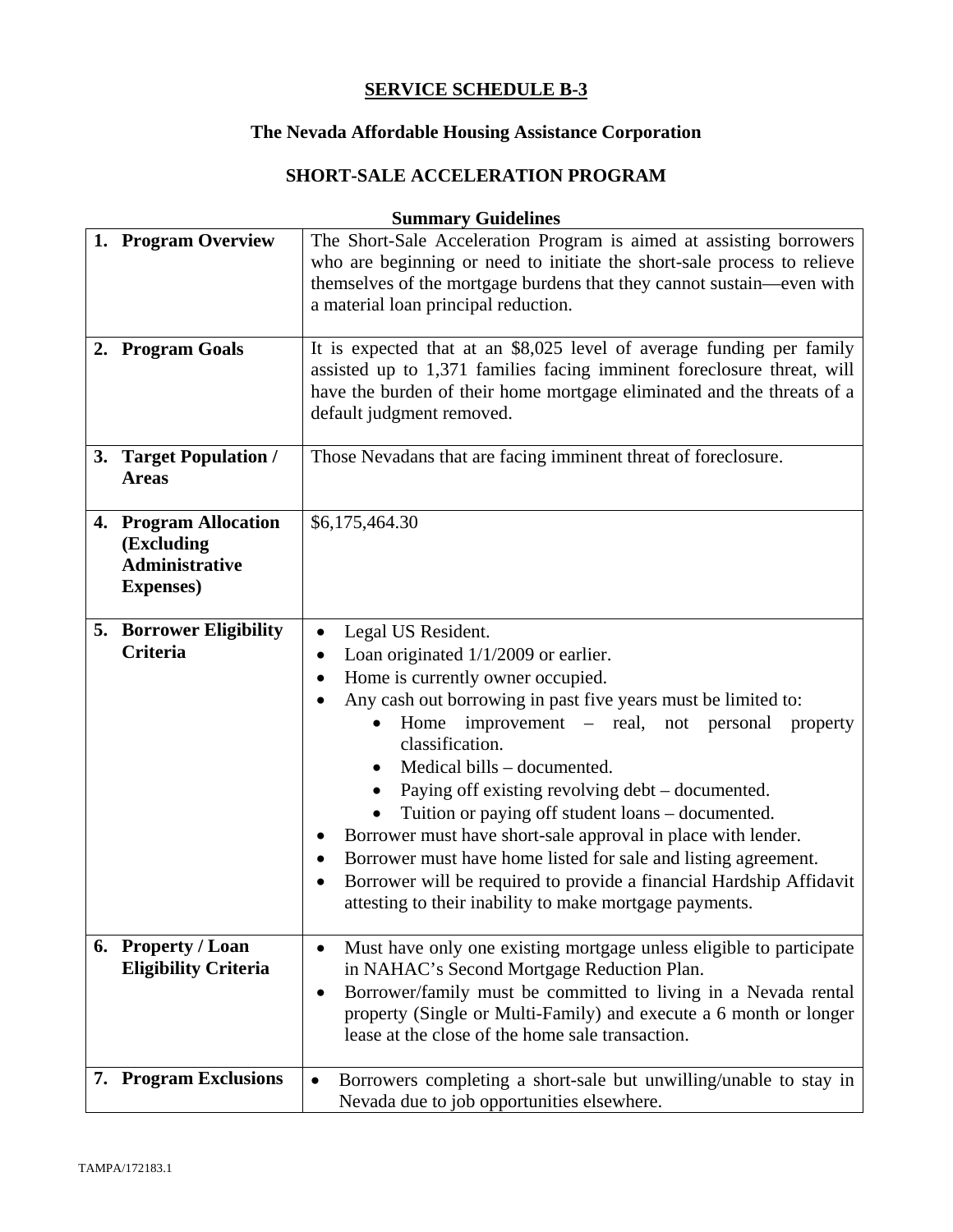# **The Nevada Affordable Housing Assistance Corporation**

# **SHORT-SALE ACCELERATION PROGRAM**

| 1. Program Overview                                                               | The Short-Sale Acceleration Program is aimed at assisting borrowers<br>who are beginning or need to initiate the short-sale process to relieve<br>themselves of the mortgage burdens that they cannot sustain—even with<br>a material loan principal reduction.                                                                                                                                                                                                                                                                                                                                                                                                                    |  |
|-----------------------------------------------------------------------------------|------------------------------------------------------------------------------------------------------------------------------------------------------------------------------------------------------------------------------------------------------------------------------------------------------------------------------------------------------------------------------------------------------------------------------------------------------------------------------------------------------------------------------------------------------------------------------------------------------------------------------------------------------------------------------------|--|
| 2. Program Goals                                                                  | It is expected that at an \$8,025 level of average funding per family<br>assisted up to 1,371 families facing imminent foreclosure threat, will<br>have the burden of their home mortgage eliminated and the threats of a<br>default judgment removed.                                                                                                                                                                                                                                                                                                                                                                                                                             |  |
| 3. Target Population /<br><b>Areas</b>                                            | Those Nevadans that are facing imminent threat of foreclosure.                                                                                                                                                                                                                                                                                                                                                                                                                                                                                                                                                                                                                     |  |
| 4. Program Allocation<br>(Excluding<br><b>Administrative</b><br><b>Expenses</b> ) | \$6,175,464.30                                                                                                                                                                                                                                                                                                                                                                                                                                                                                                                                                                                                                                                                     |  |
| <b>5. Borrower Eligibility</b><br><b>Criteria</b>                                 | Legal US Resident.<br>Loan originated $1/1/2009$ or earlier.<br>٠<br>Home is currently owner occupied.<br>Any cash out borrowing in past five years must be limited to:<br>Home improvement – real, not personal<br>property<br>classification.<br>Medical bills – documented.<br>$\bullet$<br>Paying off existing revolving debt – documented.<br>Tuition or paying off student loans – documented.<br>Borrower must have short-sale approval in place with lender.<br>Borrower must have home listed for sale and listing agreement.<br>٠<br>Borrower will be required to provide a financial Hardship Affidavit<br>٠<br>attesting to their inability to make mortgage payments. |  |
| 6. Property / Loan<br><b>Eligibility Criteria</b>                                 | Must have only one existing mortgage unless eligible to participate<br>$\bullet$<br>in NAHAC's Second Mortgage Reduction Plan.<br>Borrower/family must be committed to living in a Nevada rental<br>٠<br>property (Single or Multi-Family) and execute a 6 month or longer<br>lease at the close of the home sale transaction.                                                                                                                                                                                                                                                                                                                                                     |  |
| 7. Program Exclusions                                                             | Borrowers completing a short-sale but unwilling/unable to stay in<br>$\bullet$<br>Nevada due to job opportunities elsewhere.                                                                                                                                                                                                                                                                                                                                                                                                                                                                                                                                                       |  |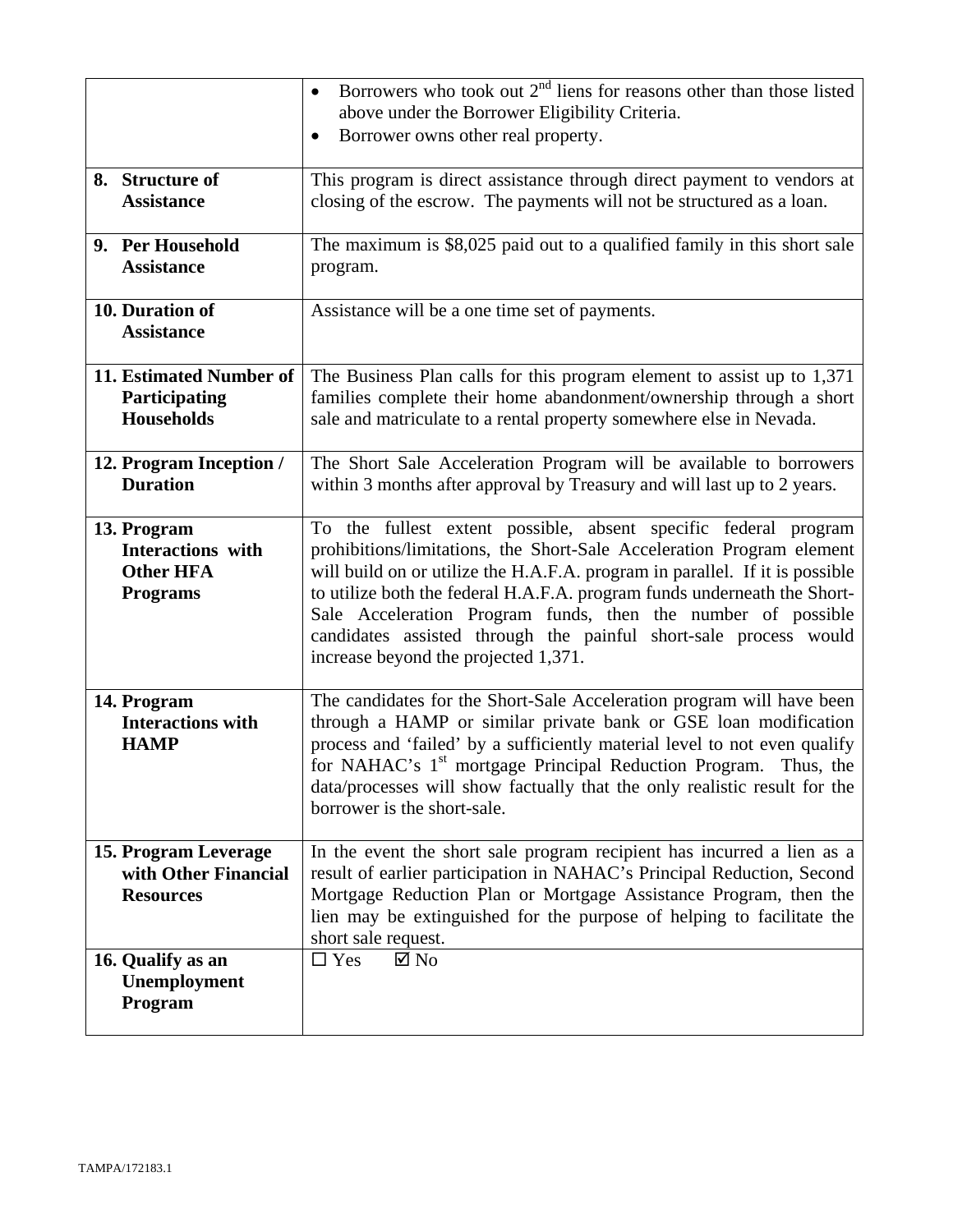|                                                                                | Borrowers who took out $2nd$ liens for reasons other than those listed<br>above under the Borrower Eligibility Criteria.<br>Borrower owns other real property.<br>$\bullet$                                                                                                                                                                                                                                                                                                      |  |
|--------------------------------------------------------------------------------|----------------------------------------------------------------------------------------------------------------------------------------------------------------------------------------------------------------------------------------------------------------------------------------------------------------------------------------------------------------------------------------------------------------------------------------------------------------------------------|--|
| 8. Structure of<br><b>Assistance</b>                                           | This program is direct assistance through direct payment to vendors at<br>closing of the escrow. The payments will not be structured as a loan.                                                                                                                                                                                                                                                                                                                                  |  |
| 9. Per Household<br><b>Assistance</b>                                          | The maximum is \$8,025 paid out to a qualified family in this short sale<br>program.                                                                                                                                                                                                                                                                                                                                                                                             |  |
| 10. Duration of<br><b>Assistance</b>                                           | Assistance will be a one time set of payments.                                                                                                                                                                                                                                                                                                                                                                                                                                   |  |
| 11. Estimated Number of<br>Participating<br><b>Households</b>                  | The Business Plan calls for this program element to assist up to 1,371<br>families complete their home abandonment/ownership through a short<br>sale and matriculate to a rental property somewhere else in Nevada.                                                                                                                                                                                                                                                              |  |
| 12. Program Inception /<br><b>Duration</b>                                     | The Short Sale Acceleration Program will be available to borrowers<br>within 3 months after approval by Treasury and will last up to 2 years.                                                                                                                                                                                                                                                                                                                                    |  |
| 13. Program<br><b>Interactions</b> with<br><b>Other HFA</b><br><b>Programs</b> | To the fullest extent possible, absent specific federal program<br>prohibitions/limitations, the Short-Sale Acceleration Program element<br>will build on or utilize the H.A.F.A. program in parallel. If it is possible<br>to utilize both the federal H.A.F.A. program funds underneath the Short-<br>Sale Acceleration Program funds, then the number of possible<br>candidates assisted through the painful short-sale process would<br>increase beyond the projected 1,371. |  |
| 14. Program<br><b>Interactions with</b><br><b>HAMP</b>                         | The candidates for the Short-Sale Acceleration program will have been<br>through a HAMP or similar private bank or GSE loan modification<br>process and 'failed' by a sufficiently material level to not even qualify<br>for NAHAC's 1 <sup>st</sup> mortgage Principal Reduction Program.<br>Thus, the<br>data/processes will show factually that the only realistic result for the<br>borrower is the short-sale.                                                              |  |
| 15. Program Leverage<br>with Other Financial<br><b>Resources</b>               | In the event the short sale program recipient has incurred a lien as a<br>result of earlier participation in NAHAC's Principal Reduction, Second<br>Mortgage Reduction Plan or Mortgage Assistance Program, then the<br>lien may be extinguished for the purpose of helping to facilitate the<br>short sale request.                                                                                                                                                             |  |
| 16. Qualify as an<br>Unemployment<br>Program                                   | $\Box$ Yes<br>$\boxtimes$ No                                                                                                                                                                                                                                                                                                                                                                                                                                                     |  |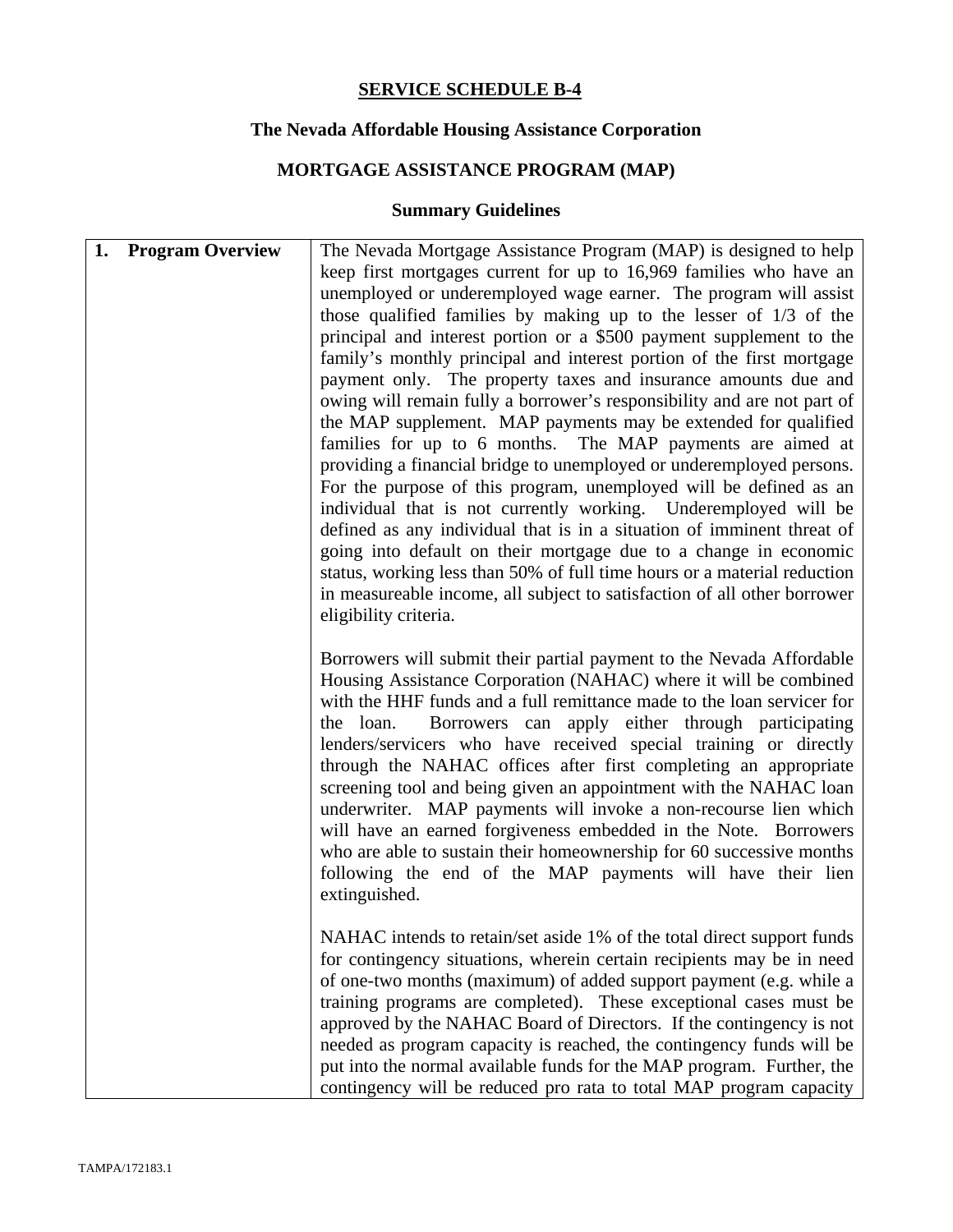# **The Nevada Affordable Housing Assistance Corporation**

# **MORTGAGE ASSISTANCE PROGRAM (MAP)**

| 1. | <b>Program Overview</b> | The Nevada Mortgage Assistance Program (MAP) is designed to help                                                                            |
|----|-------------------------|---------------------------------------------------------------------------------------------------------------------------------------------|
|    |                         | keep first mortgages current for up to 16,969 families who have an                                                                          |
|    |                         | unemployed or underemployed wage earner. The program will assist                                                                            |
|    |                         | those qualified families by making up to the lesser of $1/3$ of the                                                                         |
|    |                         | principal and interest portion or a \$500 payment supplement to the                                                                         |
|    |                         | family's monthly principal and interest portion of the first mortgage                                                                       |
|    |                         | payment only. The property taxes and insurance amounts due and                                                                              |
|    |                         | owing will remain fully a borrower's responsibility and are not part of                                                                     |
|    |                         | the MAP supplement. MAP payments may be extended for qualified<br>families for up to 6 months. The MAP payments are aimed at                |
|    |                         | providing a financial bridge to unemployed or underemployed persons.                                                                        |
|    |                         | For the purpose of this program, unemployed will be defined as an                                                                           |
|    |                         | individual that is not currently working. Underemployed will be                                                                             |
|    |                         | defined as any individual that is in a situation of imminent threat of                                                                      |
|    |                         | going into default on their mortgage due to a change in economic                                                                            |
|    |                         | status, working less than 50% of full time hours or a material reduction                                                                    |
|    |                         | in measureable income, all subject to satisfaction of all other borrower                                                                    |
|    |                         | eligibility criteria.                                                                                                                       |
|    |                         |                                                                                                                                             |
|    |                         | Borrowers will submit their partial payment to the Nevada Affordable                                                                        |
|    |                         | Housing Assistance Corporation (NAHAC) where it will be combined                                                                            |
|    |                         | with the HHF funds and a full remittance made to the loan servicer for                                                                      |
|    |                         | Borrowers can apply either through participating<br>the loan.<br>lenders/servicers who have received special training or directly           |
|    |                         | through the NAHAC offices after first completing an appropriate                                                                             |
|    |                         | screening tool and being given an appointment with the NAHAC loan                                                                           |
|    |                         | underwriter. MAP payments will invoke a non-recourse lien which                                                                             |
|    |                         | will have an earned forgiveness embedded in the Note. Borrowers                                                                             |
|    |                         | who are able to sustain their homeownership for 60 successive months                                                                        |
|    |                         | following the end of the MAP payments will have their lien                                                                                  |
|    |                         | extinguished.                                                                                                                               |
|    |                         |                                                                                                                                             |
|    |                         | NAHAC intends to retain/set aside 1% of the total direct support funds                                                                      |
|    |                         | for contingency situations, wherein certain recipients may be in need                                                                       |
|    |                         | of one-two months (maximum) of added support payment (e.g. while a                                                                          |
|    |                         | training programs are completed). These exceptional cases must be                                                                           |
|    |                         | approved by the NAHAC Board of Directors. If the contingency is not<br>needed as program capacity is reached, the contingency funds will be |
|    |                         | put into the normal available funds for the MAP program. Further, the                                                                       |
|    |                         | contingency will be reduced pro rata to total MAP program capacity                                                                          |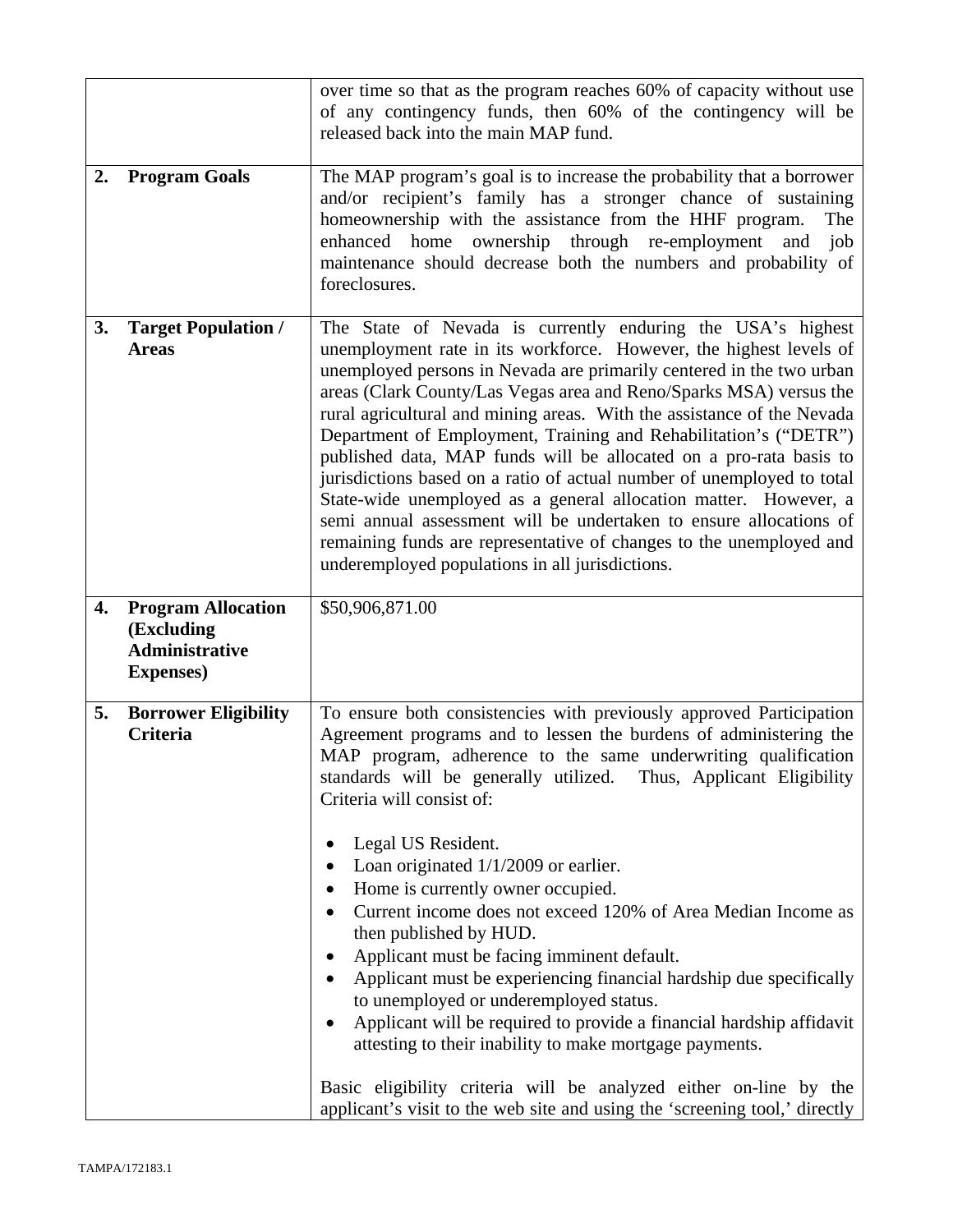|    |                                                                                       | over time so that as the program reaches 60% of capacity without use<br>of any contingency funds, then 60% of the contingency will be<br>released back into the main MAP fund.                                                                                                                                                                                                                                                                                                                                                                                                                                                                                                                                                                                                                                                                                                                                                                                      |  |
|----|---------------------------------------------------------------------------------------|---------------------------------------------------------------------------------------------------------------------------------------------------------------------------------------------------------------------------------------------------------------------------------------------------------------------------------------------------------------------------------------------------------------------------------------------------------------------------------------------------------------------------------------------------------------------------------------------------------------------------------------------------------------------------------------------------------------------------------------------------------------------------------------------------------------------------------------------------------------------------------------------------------------------------------------------------------------------|--|
| 2. | <b>Program Goals</b>                                                                  | The MAP program's goal is to increase the probability that a borrower<br>and/or recipient's family has a stronger chance of sustaining<br>homeownership with the assistance from the HHF program.<br>The<br>enhanced home ownership through re-employment<br>job<br>and<br>maintenance should decrease both the numbers and probability of<br>foreclosures.                                                                                                                                                                                                                                                                                                                                                                                                                                                                                                                                                                                                         |  |
| 3. | <b>Target Population /</b><br><b>Areas</b>                                            | The State of Nevada is currently enduring the USA's highest<br>unemployment rate in its workforce. However, the highest levels of<br>unemployed persons in Nevada are primarily centered in the two urban<br>areas (Clark County/Las Vegas area and Reno/Sparks MSA) versus the<br>rural agricultural and mining areas. With the assistance of the Nevada<br>Department of Employment, Training and Rehabilitation's ("DETR")<br>published data, MAP funds will be allocated on a pro-rata basis to<br>jurisdictions based on a ratio of actual number of unemployed to total<br>State-wide unemployed as a general allocation matter. However, a<br>semi annual assessment will be undertaken to ensure allocations of<br>remaining funds are representative of changes to the unemployed and<br>underemployed populations in all jurisdictions.                                                                                                                   |  |
| 4. | <b>Program Allocation</b><br>(Excluding<br><b>Administrative</b><br><b>Expenses</b> ) | \$50,906,871.00                                                                                                                                                                                                                                                                                                                                                                                                                                                                                                                                                                                                                                                                                                                                                                                                                                                                                                                                                     |  |
| 5. | <b>Borrower Eligibility</b><br><b>Criteria</b>                                        | To ensure both consistencies with previously approved Participation<br>Agreement programs and to lessen the burdens of administering the<br>MAP program, adherence to the same underwriting qualification<br>standards will be generally utilized. Thus, Applicant Eligibility<br>Criteria will consist of:<br>Legal US Resident.<br>Loan originated $1/1/2009$ or earlier.<br>Home is currently owner occupied.<br>٠<br>Current income does not exceed 120% of Area Median Income as<br>then published by HUD.<br>Applicant must be facing imminent default.<br>Applicant must be experiencing financial hardship due specifically<br>to unemployed or underemployed status.<br>Applicant will be required to provide a financial hardship affidavit<br>attesting to their inability to make mortgage payments.<br>Basic eligibility criteria will be analyzed either on-line by the<br>applicant's visit to the web site and using the 'screening tool,' directly |  |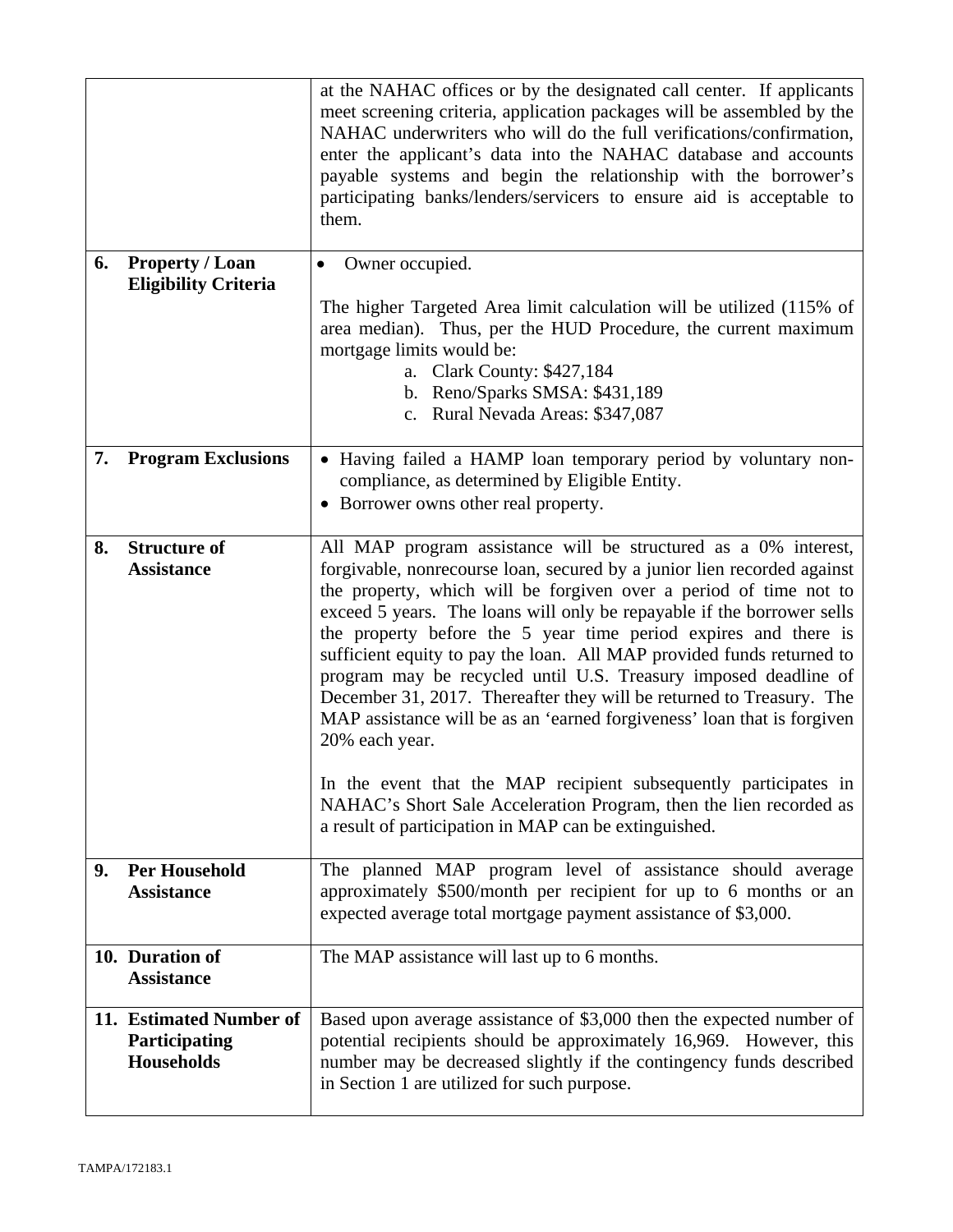|    |                                                        | at the NAHAC offices or by the designated call center. If applicants<br>meet screening criteria, application packages will be assembled by the<br>NAHAC underwriters who will do the full verifications/confirmation,<br>enter the applicant's data into the NAHAC database and accounts<br>payable systems and begin the relationship with the borrower's<br>participating banks/lenders/servicers to ensure aid is acceptable to<br>them.                                                                                                                                                                |  |
|----|--------------------------------------------------------|------------------------------------------------------------------------------------------------------------------------------------------------------------------------------------------------------------------------------------------------------------------------------------------------------------------------------------------------------------------------------------------------------------------------------------------------------------------------------------------------------------------------------------------------------------------------------------------------------------|--|
| 6. | Property / Loan<br><b>Eligibility Criteria</b>         | Owner occupied.<br>$\bullet$                                                                                                                                                                                                                                                                                                                                                                                                                                                                                                                                                                               |  |
|    |                                                        | The higher Targeted Area limit calculation will be utilized (115% of<br>area median). Thus, per the HUD Procedure, the current maximum<br>mortgage limits would be:<br>a. Clark County: \$427,184<br>b. Reno/Sparks SMSA: \$431,189<br>c. Rural Nevada Areas: \$347,087                                                                                                                                                                                                                                                                                                                                    |  |
| 7. | <b>Program Exclusions</b>                              | • Having failed a HAMP loan temporary period by voluntary non-                                                                                                                                                                                                                                                                                                                                                                                                                                                                                                                                             |  |
|    |                                                        | compliance, as determined by Eligible Entity.<br>• Borrower owns other real property.                                                                                                                                                                                                                                                                                                                                                                                                                                                                                                                      |  |
| 8. | <b>Structure of</b>                                    | All MAP program assistance will be structured as a 0% interest,                                                                                                                                                                                                                                                                                                                                                                                                                                                                                                                                            |  |
|    | <b>Assistance</b>                                      | forgivable, nonrecourse loan, secured by a junior lien recorded against<br>the property, which will be forgiven over a period of time not to<br>exceed 5 years. The loans will only be repayable if the borrower sells<br>the property before the 5 year time period expires and there is<br>sufficient equity to pay the loan. All MAP provided funds returned to<br>program may be recycled until U.S. Treasury imposed deadline of<br>December 31, 2017. Thereafter they will be returned to Treasury. The<br>MAP assistance will be as an 'earned forgiveness' loan that is forgiven<br>20% each year. |  |
|    |                                                        | In the event that the MAP recipient subsequently participates in<br>NAHAC's Short Sale Acceleration Program, then the lien recorded as<br>a result of participation in MAP can be extinguished.                                                                                                                                                                                                                                                                                                                                                                                                            |  |
| 9. | <b>Per Household</b><br><b>Assistance</b>              | The planned MAP program level of assistance should average<br>approximately \$500/month per recipient for up to 6 months or an<br>expected average total mortgage payment assistance of \$3,000.                                                                                                                                                                                                                                                                                                                                                                                                           |  |
|    | 10. Duration of<br><b>Assistance</b>                   | The MAP assistance will last up to 6 months.                                                                                                                                                                                                                                                                                                                                                                                                                                                                                                                                                               |  |
|    | 11. Estimated Number of<br>Participating<br>Households | Based upon average assistance of \$3,000 then the expected number of<br>potential recipients should be approximately 16,969. However, this<br>number may be decreased slightly if the contingency funds described<br>in Section 1 are utilized for such purpose.                                                                                                                                                                                                                                                                                                                                           |  |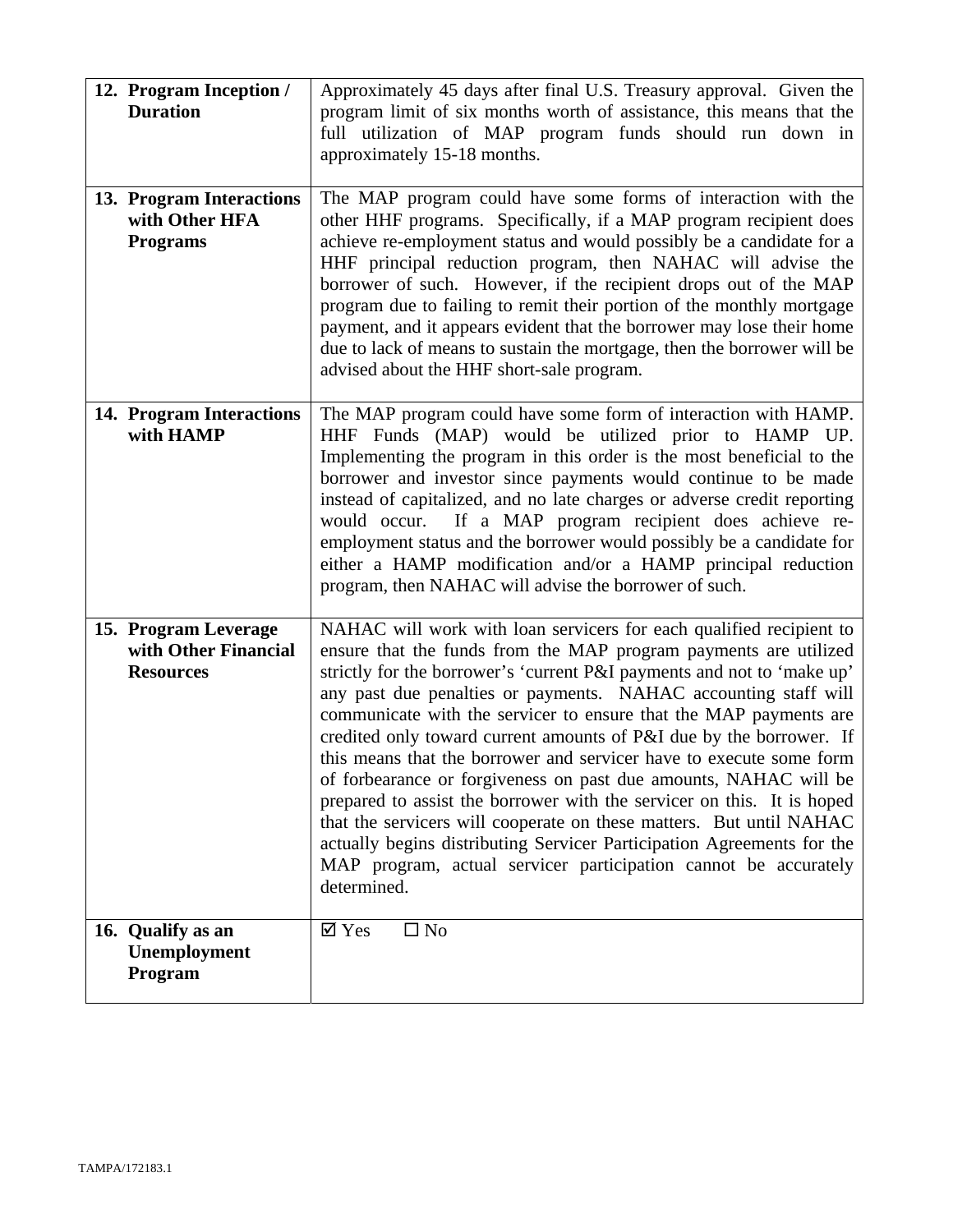| 12. Program Inception /<br><b>Duration</b>                       | Approximately 45 days after final U.S. Treasury approval. Given the<br>program limit of six months worth of assistance, this means that the<br>full utilization of MAP program funds should run down in<br>approximately 15-18 months.                                                                                                                                                                                                                                                                                                                                                                                                                                                                                                                                                                                                                                                   |
|------------------------------------------------------------------|------------------------------------------------------------------------------------------------------------------------------------------------------------------------------------------------------------------------------------------------------------------------------------------------------------------------------------------------------------------------------------------------------------------------------------------------------------------------------------------------------------------------------------------------------------------------------------------------------------------------------------------------------------------------------------------------------------------------------------------------------------------------------------------------------------------------------------------------------------------------------------------|
| 13. Program Interactions<br>with Other HFA<br><b>Programs</b>    | The MAP program could have some forms of interaction with the<br>other HHF programs. Specifically, if a MAP program recipient does<br>achieve re-employment status and would possibly be a candidate for a<br>HHF principal reduction program, then NAHAC will advise the<br>borrower of such. However, if the recipient drops out of the MAP<br>program due to failing to remit their portion of the monthly mortgage<br>payment, and it appears evident that the borrower may lose their home<br>due to lack of means to sustain the mortgage, then the borrower will be<br>advised about the HHF short-sale program.                                                                                                                                                                                                                                                                  |
| 14. Program Interactions<br>with HAMP                            | The MAP program could have some form of interaction with HAMP.<br>HHF Funds (MAP) would be utilized prior to HAMP UP.<br>Implementing the program in this order is the most beneficial to the<br>borrower and investor since payments would continue to be made<br>instead of capitalized, and no late charges or adverse credit reporting<br>If a MAP program recipient does achieve re-<br>would occur.<br>employment status and the borrower would possibly be a candidate for<br>either a HAMP modification and/or a HAMP principal reduction<br>program, then NAHAC will advise the borrower of such.                                                                                                                                                                                                                                                                               |
| 15. Program Leverage<br>with Other Financial<br><b>Resources</b> | NAHAC will work with loan servicers for each qualified recipient to<br>ensure that the funds from the MAP program payments are utilized<br>strictly for the borrower's 'current P&I payments and not to 'make up'<br>any past due penalties or payments. NAHAC accounting staff will<br>communicate with the servicer to ensure that the MAP payments are<br>credited only toward current amounts of P&I due by the borrower. If<br>this means that the borrower and servicer have to execute some form<br>of forbearance or forgiveness on past due amounts, NAHAC will be<br>prepared to assist the borrower with the servicer on this. It is hoped<br>that the servicers will cooperate on these matters. But until NAHAC<br>actually begins distributing Servicer Participation Agreements for the<br>MAP program, actual servicer participation cannot be accurately<br>determined. |
| 16. Qualify as an<br>Unemployment<br>Program                     | $\square$ No<br>$\overline{\mathsf{M}}$ Yes                                                                                                                                                                                                                                                                                                                                                                                                                                                                                                                                                                                                                                                                                                                                                                                                                                              |